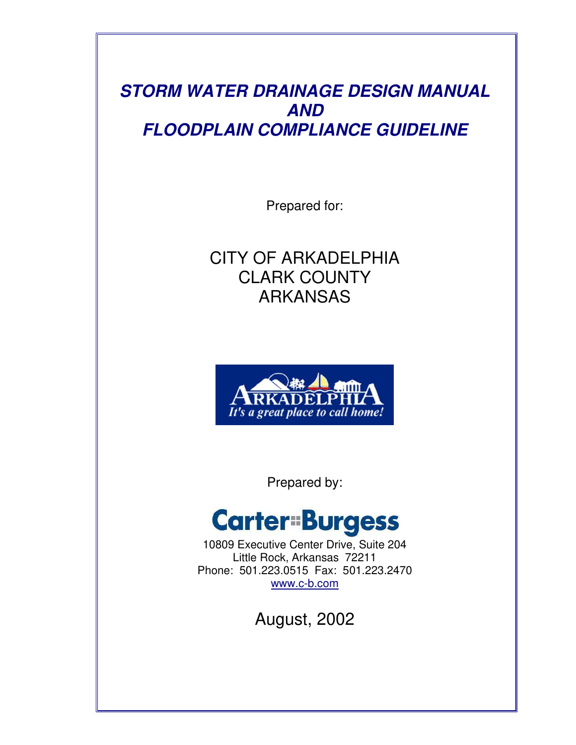# **STORM WATER DRAINAGE DESIGN MANUAL AND FLOODPLAIN COMPLIANCE GUIDELINE**

Prepared for:

CITY OF ARKADELPHIA CLARK COUNTY ARKANSAS



Prepared by:

# **Carter:: Burgess**

10809 Executive Center Drive, Suite 204 Little Rock, Arkansas 72211 Phone: 501.223.0515 Fax: 501.223.2470 [www.c-b.com](http://www.c-b.com/) 

August, 2002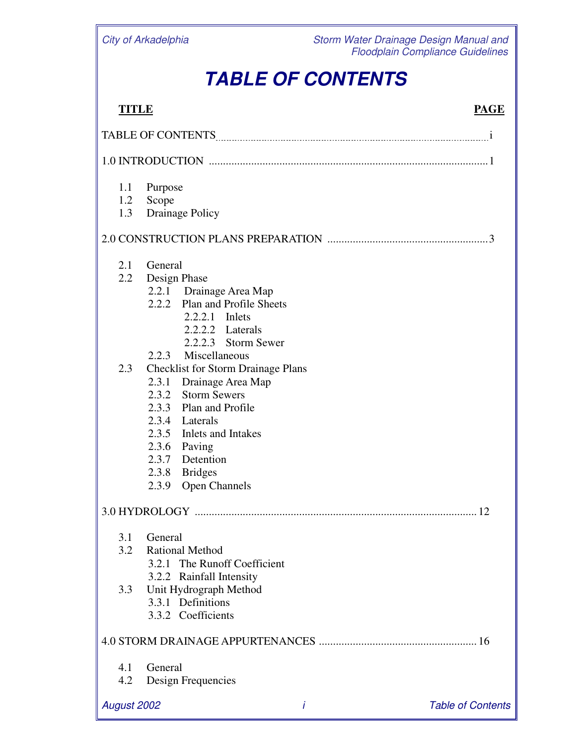# **TABLE OF CONTENTS**

| TITLE             |                                                                                                                                                                                                                                                         |   | <b>PAGE</b>              |
|-------------------|---------------------------------------------------------------------------------------------------------------------------------------------------------------------------------------------------------------------------------------------------------|---|--------------------------|
|                   |                                                                                                                                                                                                                                                         |   |                          |
|                   |                                                                                                                                                                                                                                                         |   |                          |
| 1.2<br>1.3        | 1.1 Purpose<br>Scope<br>Drainage Policy                                                                                                                                                                                                                 |   |                          |
|                   |                                                                                                                                                                                                                                                         |   |                          |
| 2.1               | General<br>2.2 Design Phase<br>2.2.1 Drainage Area Map<br>2.2.2 Plan and Profile Sheets<br>$2.2.2.1$ Inlets<br>2.2.2.2 Laterals<br>2.2.2.3 Storm Sewer<br>2.2.3 Miscellaneous                                                                           |   |                          |
| 2.3               | <b>Checklist for Storm Drainage Plans</b><br>2.3.1 Drainage Area Map<br>2.3.2 Storm Sewers<br>2.3.3 Plan and Profile<br>2.3.4 Laterals<br>2.3.5 Inlets and Intakes<br>2.3.6 Paving<br>2.3.7 Detention<br>2.3.8 Bridges<br><b>Open Channels</b><br>2.3.9 |   |                          |
|                   |                                                                                                                                                                                                                                                         |   |                          |
| 3.1<br>3.2<br>3.3 | General<br><b>Rational Method</b><br>3.2.1 The Runoff Coefficient<br>3.2.2 Rainfall Intensity<br>Unit Hydrograph Method<br>3.3.1 Definitions<br>3.3.2 Coefficients                                                                                      |   |                          |
|                   |                                                                                                                                                                                                                                                         |   |                          |
| 4.1<br>4.2        | General<br>Design Frequencies                                                                                                                                                                                                                           |   |                          |
| August 2002       |                                                                                                                                                                                                                                                         | T | <b>Table of Contents</b> |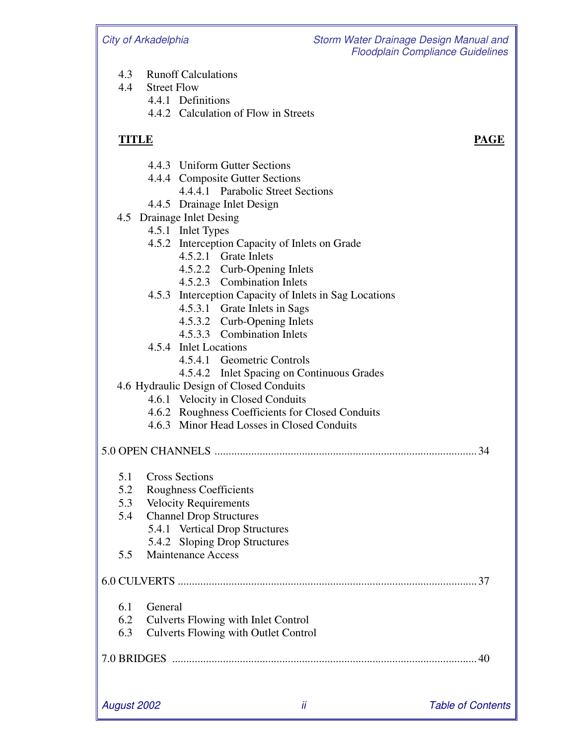- 4.3 Runoff Calculations
- 4.4 Street Flow
	- 4.4.1 Definitions
	- 4.4.2 Calculation of Flow in Streets

# **TITLE** PAGE

|     |         | 4.4.3 Uniform Gutter Sections                                                         |
|-----|---------|---------------------------------------------------------------------------------------|
|     |         | 4.4.4 Composite Gutter Sections                                                       |
|     |         | 4.4.4.1 Parabolic Street Sections                                                     |
|     |         | 4.4.5 Drainage Inlet Design                                                           |
|     |         | 4.5 Drainage Inlet Desing                                                             |
|     |         | 4.5.1 Inlet Types                                                                     |
|     |         | 4.5.2 Interception Capacity of Inlets on Grade                                        |
|     |         | 4.5.2.1 Grate Inlets                                                                  |
|     |         | 4.5.2.2 Curb-Opening Inlets                                                           |
|     |         | 4.5.2.3 Combination Inlets                                                            |
|     |         | 4.5.3 Interception Capacity of Inlets in Sag Locations                                |
|     |         | 4.5.3.1 Grate Inlets in Sags                                                          |
|     |         | 4.5.3.2 Curb-Opening Inlets                                                           |
|     |         | 4.5.3.3 Combination Inlets                                                            |
|     |         | 4.5.4 Inlet Locations                                                                 |
|     |         | 4.5.4.1 Geometric Controls                                                            |
|     |         | 4.5.4.2 Inlet Spacing on Continuous Grades                                            |
|     |         | 4.6 Hydraulic Design of Closed Conduits                                               |
|     |         | 4.6.1 Velocity in Closed Conduits<br>4.6.2 Roughness Coefficients for Closed Conduits |
|     |         | 4.6.3 Minor Head Losses in Closed Conduits                                            |
|     |         |                                                                                       |
|     |         | 34                                                                                    |
|     |         |                                                                                       |
|     |         | 5.1 Cross Sections                                                                    |
|     |         | 5.2 Roughness Coefficients                                                            |
|     |         | 5.3 Velocity Requirements                                                             |
| 5.4 |         | <b>Channel Drop Structures</b>                                                        |
|     |         | 5.4.1 Vertical Drop Structures                                                        |
|     |         | 5.4.2 Sloping Drop Structures                                                         |
| 5.5 |         | <b>Maintenance Access</b>                                                             |
|     |         | .37                                                                                   |
|     |         |                                                                                       |
| 6.1 | General |                                                                                       |
| 6.2 |         | Culverts Flowing with Inlet Control                                                   |
| 6.3 |         | <b>Culverts Flowing with Outlet Control</b>                                           |
|     |         |                                                                                       |
|     |         | 40                                                                                    |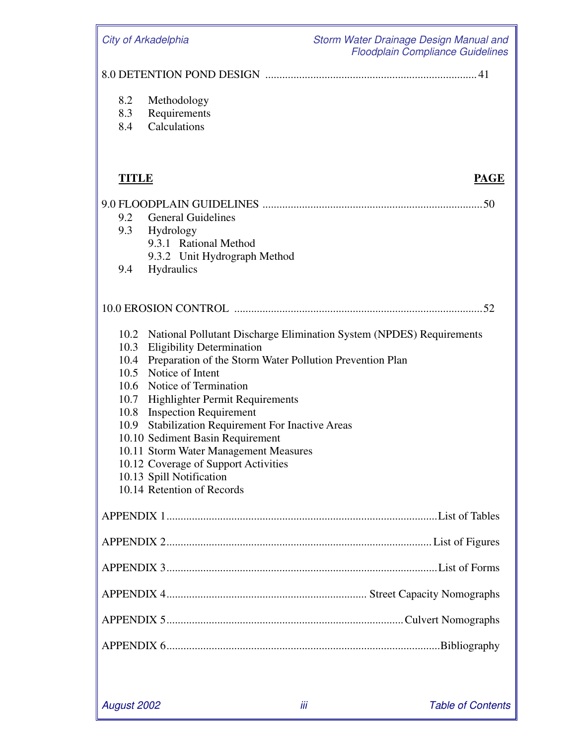| City of Arkadelphia          |                                                                                                                                                                                                                                                                                                                                                                                                                                                                    | Storm Water Drainage Design Manual and<br><b>Floodplain Compliance Guidelines</b> |
|------------------------------|--------------------------------------------------------------------------------------------------------------------------------------------------------------------------------------------------------------------------------------------------------------------------------------------------------------------------------------------------------------------------------------------------------------------------------------------------------------------|-----------------------------------------------------------------------------------|
|                              |                                                                                                                                                                                                                                                                                                                                                                                                                                                                    |                                                                                   |
| 8.2<br>8.3<br>8.4            | Methodology<br>Requirements<br>Calculations                                                                                                                                                                                                                                                                                                                                                                                                                        |                                                                                   |
| <b>TITLE</b>                 |                                                                                                                                                                                                                                                                                                                                                                                                                                                                    | <b>PAGE</b>                                                                       |
| 9.2<br>9.3<br>9.4            | <b>General Guidelines</b><br>Hydrology<br>9.3.1 Rational Method<br>9.3.2 Unit Hydrograph Method<br>Hydraulics                                                                                                                                                                                                                                                                                                                                                      |                                                                                   |
|                              |                                                                                                                                                                                                                                                                                                                                                                                                                                                                    |                                                                                   |
| 10.3<br>10.4<br>10.8<br>10.9 | <b>Eligibility Determination</b><br>Preparation of the Storm Water Pollution Prevention Plan<br>10.5 Notice of Intent<br>10.6 Notice of Termination<br>10.7 Highlighter Permit Requirements<br><b>Inspection Requirement</b><br><b>Stabilization Requirement For Inactive Areas</b><br>10.10 Sediment Basin Requirement<br>10.11 Storm Water Management Measures<br>10.12 Coverage of Support Activities<br>10.13 Spill Notification<br>10.14 Retention of Records | 10.2 National Pollutant Discharge Elimination System (NPDES) Requirements         |
|                              |                                                                                                                                                                                                                                                                                                                                                                                                                                                                    |                                                                                   |
|                              |                                                                                                                                                                                                                                                                                                                                                                                                                                                                    |                                                                                   |
|                              |                                                                                                                                                                                                                                                                                                                                                                                                                                                                    |                                                                                   |
|                              |                                                                                                                                                                                                                                                                                                                                                                                                                                                                    |                                                                                   |
|                              |                                                                                                                                                                                                                                                                                                                                                                                                                                                                    |                                                                                   |
|                              |                                                                                                                                                                                                                                                                                                                                                                                                                                                                    |                                                                                   |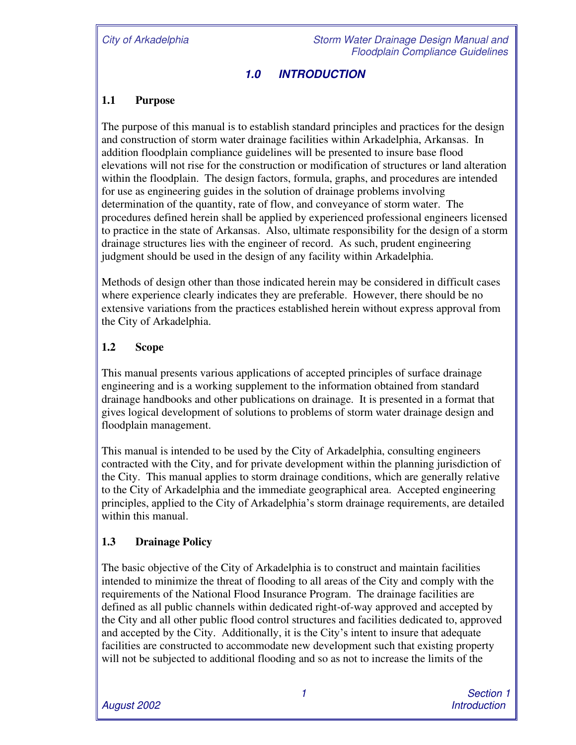# **1.0 INTRODUCTION**

#### **1.1 Purpose**

The purpose of this manual is to establish standard principles and practices for the design and construction of storm water drainage facilities within Arkadelphia, Arkansas. In addition floodplain compliance guidelines will be presented to insure base flood elevations will not rise for the construction or modification of structures or land alteration within the floodplain. The design factors, formula, graphs, and procedures are intended for use as engineering guides in the solution of drainage problems involving determination of the quantity, rate of flow, and conveyance of storm water. The procedures defined herein shall be applied by experienced professional engineers licensed to practice in the state of Arkansas. Also, ultimate responsibility for the design of a storm drainage structures lies with the engineer of record. As such, prudent engineering judgment should be used in the design of any facility within Arkadelphia.

Methods of design other than those indicated herein may be considered in difficult cases where experience clearly indicates they are preferable. However, there should be no extensive variations from the practices established herein without express approval from the City of Arkadelphia.

#### **1.2 Scope**

This manual presents various applications of accepted principles of surface drainage engineering and is a working supplement to the information obtained from standard drainage handbooks and other publications on drainage. It is presented in a format that gives logical development of solutions to problems of storm water drainage design and floodplain management.

This manual is intended to be used by the City of Arkadelphia, consulting engineers contracted with the City, and for private development within the planning jurisdiction of the City. This manual applies to storm drainage conditions, which are generally relative to the City of Arkadelphia and the immediate geographical area. Accepted engineering principles, applied to the City of Arkadelphia's storm drainage requirements, are detailed within this manual.

# **1.3 Drainage Policy**

The basic objective of the City of Arkadelphia is to construct and maintain facilities intended to minimize the threat of flooding to all areas of the City and comply with the requirements of the National Flood Insurance Program. The drainage facilities are defined as all public channels within dedicated right-of-way approved and accepted by the City and all other public flood control structures and facilities dedicated to, approved and accepted by the City. Additionally, it is the City's intent to insure that adequate facilities are constructed to accommodate new development such that existing property will not be subjected to additional flooding and so as not to increase the limits of the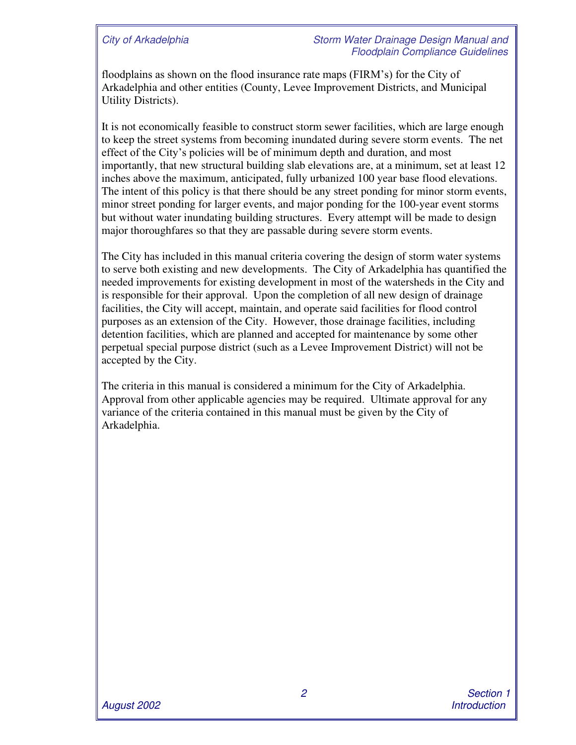floodplains as shown on the flood insurance rate maps (FIRM's) for the City of Arkadelphia and other entities (County, Levee Improvement Districts, and Municipal Utility Districts).

It is not economically feasible to construct storm sewer facilities, which are large enough to keep the street systems from becoming inundated during severe storm events. The net effect of the City's policies will be of minimum depth and duration, and most importantly, that new structural building slab elevations are, at a minimum, set at least 12 inches above the maximum, anticipated, fully urbanized 100 year base flood elevations. The intent of this policy is that there should be any street ponding for minor storm events, minor street ponding for larger events, and major ponding for the 100-year event storms but without water inundating building structures. Every attempt will be made to design major thoroughfares so that they are passable during severe storm events.

The City has included in this manual criteria covering the design of storm water systems to serve both existing and new developments. The City of Arkadelphia has quantified the needed improvements for existing development in most of the watersheds in the City and is responsible for their approval. Upon the completion of all new design of drainage facilities, the City will accept, maintain, and operate said facilities for flood control purposes as an extension of the City. However, those drainage facilities, including detention facilities, which are planned and accepted for maintenance by some other perpetual special purpose district (such as a Levee Improvement District) will not be accepted by the City.

The criteria in this manual is considered a minimum for the City of Arkadelphia. Approval from other applicable agencies may be required. Ultimate approval for any variance of the criteria contained in this manual must be given by the City of Arkadelphia.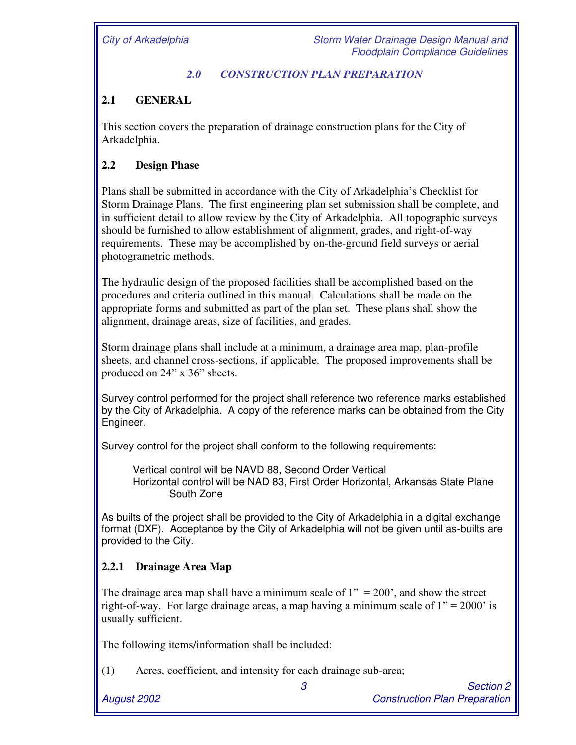# *2.0 CONSTRUCTION PLAN PREPARATION*

# **2.1 GENERAL**

This section covers the preparation of drainage construction plans for the City of Arkadelphia.

# **2.2 Design Phase**

Plans shall be submitted in accordance with the City of Arkadelphia's Checklist for Storm Drainage Plans. The first engineering plan set submission shall be complete, and in sufficient detail to allow review by the City of Arkadelphia. All topographic surveys should be furnished to allow establishment of alignment, grades, and right-of-way requirements. These may be accomplished by on-the-ground field surveys or aerial photogrametric methods.

The hydraulic design of the proposed facilities shall be accomplished based on the procedures and criteria outlined in this manual. Calculations shall be made on the appropriate forms and submitted as part of the plan set. These plans shall show the alignment, drainage areas, size of facilities, and grades.

Storm drainage plans shall include at a minimum, a drainage area map, plan-profile sheets, and channel cross-sections, if applicable. The proposed improvements shall be produced on 24" x 36" sheets.

Survey control performed for the project shall reference two reference marks established by the City of Arkadelphia. A copy of the reference marks can be obtained from the City Engineer.

Survey control for the project shall conform to the following requirements:

Vertical control will be NAVD 88, Second Order Vertical Horizontal control will be NAD 83, First Order Horizontal, Arkansas State Plane South Zone

As builts of the project shall be provided to the City of Arkadelphia in a digital exchange format (DXF). Acceptance by the City of Arkadelphia will not be given until as-builts are provided to the City.

# **2.2.1 Drainage Area Map**

The drainage area map shall have a minimum scale of  $1" = 200'$ , and show the street right-of-way. For large drainage areas, a map having a minimum scale of  $1" = 2000'$  is usually sufficient.

The following items/information shall be included:

(1) Acres, coefficient, and intensity for each drainage sub-area;

3 Section 2 August 2002 Construction Plan Preparation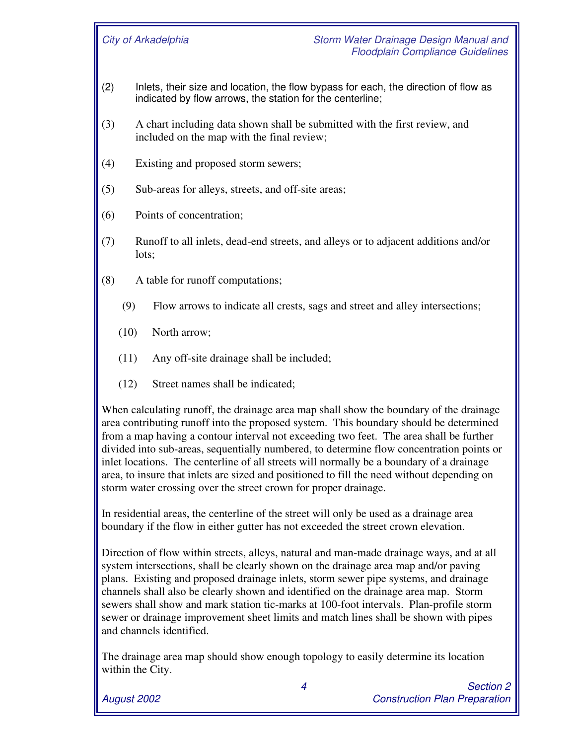- (2) Inlets, their size and location, the flow bypass for each, the direction of flow as indicated by flow arrows, the station for the centerline;
- (3) A chart including data shown shall be submitted with the first review, and included on the map with the final review;
- (4) Existing and proposed storm sewers;
- (5) Sub-areas for alleys, streets, and off-site areas;
- (6) Points of concentration;
- (7) Runoff to all inlets, dead-end streets, and alleys or to adjacent additions and/or lots;
- (8) A table for runoff computations;
	- (9) Flow arrows to indicate all crests, sags and street and alley intersections;
	- (10) North arrow;
	- (11) Any off-site drainage shall be included;
	- (12) Street names shall be indicated;

When calculating runoff, the drainage area map shall show the boundary of the drainage area contributing runoff into the proposed system. This boundary should be determined from a map having a contour interval not exceeding two feet. The area shall be further divided into sub-areas, sequentially numbered, to determine flow concentration points or inlet locations. The centerline of all streets will normally be a boundary of a drainage area, to insure that inlets are sized and positioned to fill the need without depending on storm water crossing over the street crown for proper drainage.

In residential areas, the centerline of the street will only be used as a drainage area boundary if the flow in either gutter has not exceeded the street crown elevation.

Direction of flow within streets, alleys, natural and man-made drainage ways, and at all system intersections, shall be clearly shown on the drainage area map and/or paving plans. Existing and proposed drainage inlets, storm sewer pipe systems, and drainage channels shall also be clearly shown and identified on the drainage area map. Storm sewers shall show and mark station tic-marks at 100-foot intervals. Plan-profile storm sewer or drainage improvement sheet limits and match lines shall be shown with pipes and channels identified.

The drainage area map should show enough topology to easily determine its location within the City.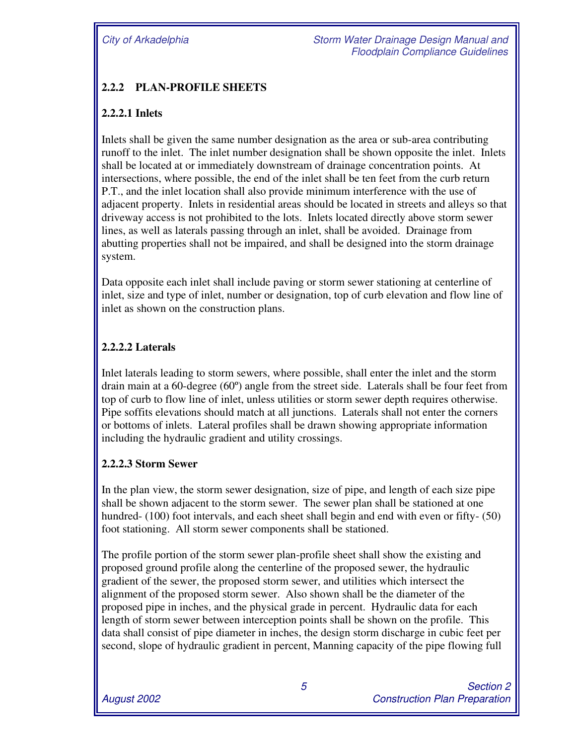# **2.2.2 PLAN-PROFILE SHEETS**

# **2.2.2.1 Inlets**

Inlets shall be given the same number designation as the area or sub-area contributing runoff to the inlet. The inlet number designation shall be shown opposite the inlet. Inlets shall be located at or immediately downstream of drainage concentration points. At intersections, where possible, the end of the inlet shall be ten feet from the curb return P.T., and the inlet location shall also provide minimum interference with the use of adjacent property. Inlets in residential areas should be located in streets and alleys so that driveway access is not prohibited to the lots. Inlets located directly above storm sewer lines, as well as laterals passing through an inlet, shall be avoided. Drainage from abutting properties shall not be impaired, and shall be designed into the storm drainage system.

Data opposite each inlet shall include paving or storm sewer stationing at centerline of inlet, size and type of inlet, number or designation, top of curb elevation and flow line of inlet as shown on the construction plans.

# **2.2.2.2 Laterals**

Inlet laterals leading to storm sewers, where possible, shall enter the inlet and the storm drain main at a  $60$ -degree  $(60^{\circ})$  angle from the street side. Laterals shall be four feet from top of curb to flow line of inlet, unless utilities or storm sewer depth requires otherwise. Pipe soffits elevations should match at all junctions. Laterals shall not enter the corners or bottoms of inlets. Lateral profiles shall be drawn showing appropriate information including the hydraulic gradient and utility crossings.

# **2.2.2.3 Storm Sewer**

In the plan view, the storm sewer designation, size of pipe, and length of each size pipe shall be shown adjacent to the storm sewer. The sewer plan shall be stationed at one hundred- (100) foot intervals, and each sheet shall begin and end with even or fifty- (50) foot stationing. All storm sewer components shall be stationed.

The profile portion of the storm sewer plan-profile sheet shall show the existing and proposed ground profile along the centerline of the proposed sewer, the hydraulic gradient of the sewer, the proposed storm sewer, and utilities which intersect the alignment of the proposed storm sewer. Also shown shall be the diameter of the proposed pipe in inches, and the physical grade in percent. Hydraulic data for each length of storm sewer between interception points shall be shown on the profile. This data shall consist of pipe diameter in inches, the design storm discharge in cubic feet per second, slope of hydraulic gradient in percent, Manning capacity of the pipe flowing full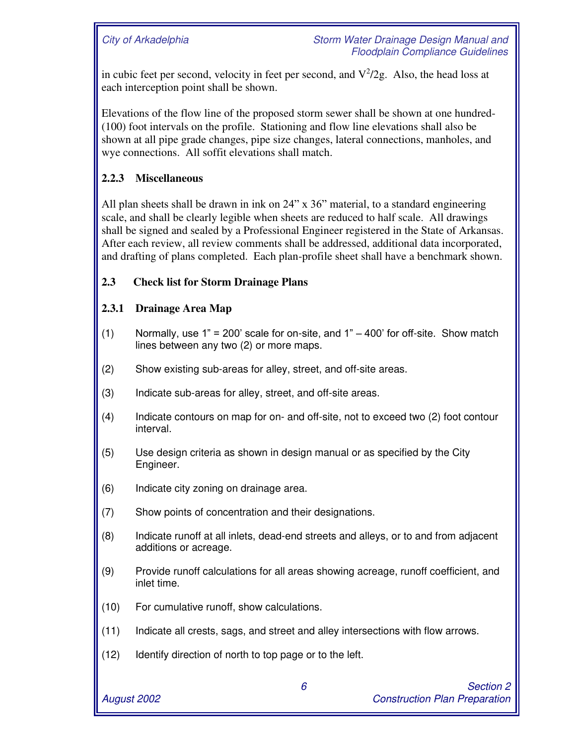in cubic feet per second, velocity in feet per second, and  $\sqrt{2}/2g$ . Also, the head loss at each interception point shall be shown.

Elevations of the flow line of the proposed storm sewer shall be shown at one hundred- (100) foot intervals on the profile. Stationing and flow line elevations shall also be shown at all pipe grade changes, pipe size changes, lateral connections, manholes, and wye connections. All soffit elevations shall match.

# **2.2.3 Miscellaneous**

All plan sheets shall be drawn in ink on 24" x 36" material, to a standard engineering scale, and shall be clearly legible when sheets are reduced to half scale. All drawings shall be signed and sealed by a Professional Engineer registered in the State of Arkansas. After each review, all review comments shall be addressed, additional data incorporated, and drafting of plans completed. Each plan-profile sheet shall have a benchmark shown.

# **2.3 Check list for Storm Drainage Plans**

# **2.3.1 Drainage Area Map**

- (1) Normally, use  $1" = 200'$  scale for on-site, and  $1" 400'$  for off-site. Show match lines between any two (2) or more maps.
- (2) Show existing sub-areas for alley, street, and off-site areas.
- (3) Indicate sub-areas for alley, street, and off-site areas.
- (4) Indicate contours on map for on- and off-site, not to exceed two (2) foot contour interval.
- (5) Use design criteria as shown in design manual or as specified by the City Engineer.
- (6) Indicate city zoning on drainage area.
- (7) Show points of concentration and their designations.
- (8) Indicate runoff at all inlets, dead-end streets and alleys, or to and from adjacent additions or acreage.
- (9) Provide runoff calculations for all areas showing acreage, runoff coefficient, and inlet time.
- (10) For cumulative runoff, show calculations.
- (11) Indicate all crests, sags, and street and alley intersections with flow arrows.
- (12) Identify direction of north to top page or to the left.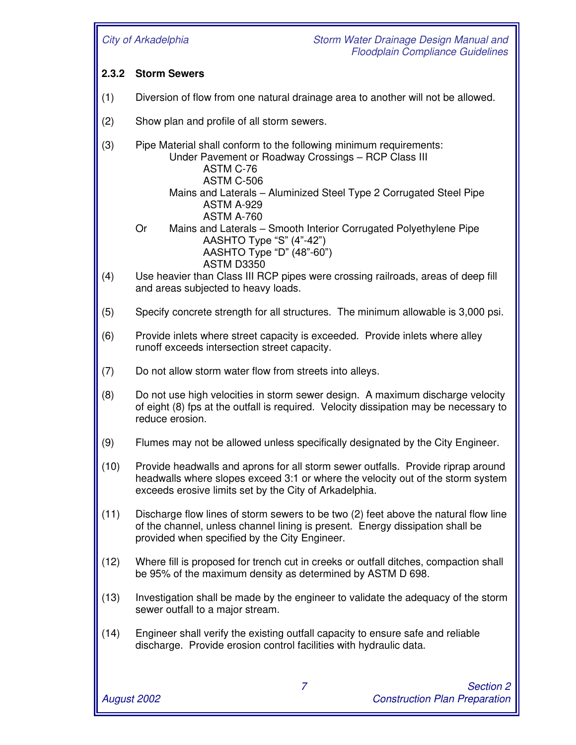|       | City of Arkadelphia<br>Storm Water Drainage Design Manual and<br><b>Floodplain Compliance Guidelines</b>                                                                                                                                                                                                                                                                                                                             |
|-------|--------------------------------------------------------------------------------------------------------------------------------------------------------------------------------------------------------------------------------------------------------------------------------------------------------------------------------------------------------------------------------------------------------------------------------------|
| 2.3.2 | <b>Storm Sewers</b>                                                                                                                                                                                                                                                                                                                                                                                                                  |
| (1)   | Diversion of flow from one natural drainage area to another will not be allowed.                                                                                                                                                                                                                                                                                                                                                     |
| (2)   | Show plan and profile of all storm sewers.                                                                                                                                                                                                                                                                                                                                                                                           |
| (3)   | Pipe Material shall conform to the following minimum requirements:<br>Under Pavement or Roadway Crossings - RCP Class III<br>ASTM C-76<br>ASTM C-506<br>Mains and Laterals - Aluminized Steel Type 2 Corrugated Steel Pipe<br><b>ASTM A-929</b><br><b>ASTM A-760</b><br><b>Or</b><br>Mains and Laterals - Smooth Interior Corrugated Polyethylene Pipe<br>AASHTO Type "S" (4"-42")<br>AASHTO Type "D" (48"-60")<br><b>ASTM D3350</b> |
| (4)   | Use heavier than Class III RCP pipes were crossing railroads, areas of deep fill<br>and areas subjected to heavy loads.                                                                                                                                                                                                                                                                                                              |
| (5)   | Specify concrete strength for all structures. The minimum allowable is 3,000 psi.                                                                                                                                                                                                                                                                                                                                                    |
| (6)   | Provide inlets where street capacity is exceeded. Provide inlets where alley<br>runoff exceeds intersection street capacity.                                                                                                                                                                                                                                                                                                         |
| (7)   | Do not allow storm water flow from streets into alleys.                                                                                                                                                                                                                                                                                                                                                                              |
| (8)   | Do not use high velocities in storm sewer design. A maximum discharge velocity<br>of eight (8) fps at the outfall is required. Velocity dissipation may be necessary to<br>reduce erosion.                                                                                                                                                                                                                                           |
| (9)   | Flumes may not be allowed unless specifically designated by the City Engineer.                                                                                                                                                                                                                                                                                                                                                       |
| (10)  | Provide headwalls and aprons for all storm sewer outfalls. Provide riprap around<br>headwalls where slopes exceed 3:1 or where the velocity out of the storm system<br>exceeds erosive limits set by the City of Arkadelphia.                                                                                                                                                                                                        |
| (11)  | Discharge flow lines of storm sewers to be two (2) feet above the natural flow line<br>of the channel, unless channel lining is present. Energy dissipation shall be<br>provided when specified by the City Engineer.                                                                                                                                                                                                                |
| (12)  | Where fill is proposed for trench cut in creeks or outfall ditches, compaction shall<br>be 95% of the maximum density as determined by ASTM D 698.                                                                                                                                                                                                                                                                                   |
| (13)  | Investigation shall be made by the engineer to validate the adequacy of the storm<br>sewer outfall to a major stream.                                                                                                                                                                                                                                                                                                                |
| (14)  | Engineer shall verify the existing outfall capacity to ensure safe and reliable<br>discharge. Provide erosion control facilities with hydraulic data.                                                                                                                                                                                                                                                                                |
|       | 7<br><b>Section 2</b><br>August 2002<br><b>Construction Plan Preparation</b>                                                                                                                                                                                                                                                                                                                                                         |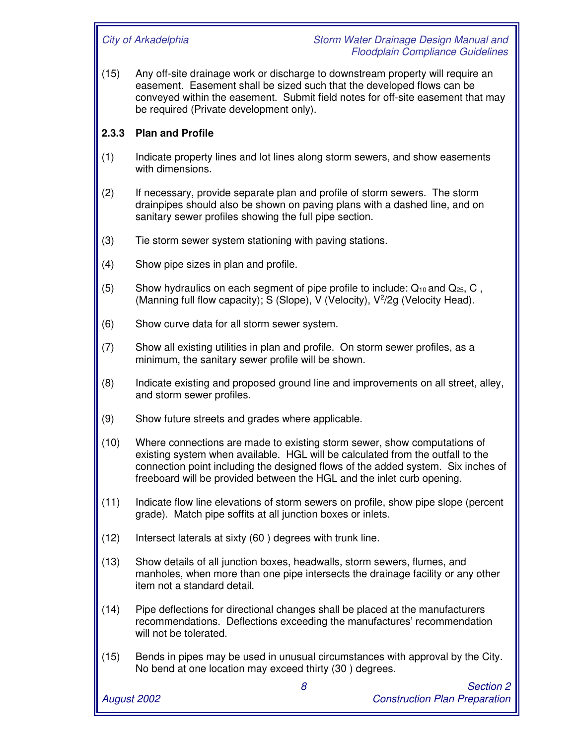(15) Any off-site drainage work or discharge to downstream property will require an easement. Easement shall be sized such that the developed flows can be conveyed within the easement. Submit field notes for off-site easement that may be required (Private development only).

#### **2.3.3 Plan and Profile**

- (1) Indicate property lines and lot lines along storm sewers, and show easements with dimensions.
- (2) If necessary, provide separate plan and profile of storm sewers. The storm drainpipes should also be shown on paving plans with a dashed line, and on sanitary sewer profiles showing the full pipe section.
- (3) Tie storm sewer system stationing with paving stations.
- (4) Show pipe sizes in plan and profile.
- (5) Show hydraulics on each segment of pipe profile to include:  $Q_{10}$  and  $Q_{25}$ , C, (Manning full flow capacity); S (Slope), V (Velocity),  $V^2/2g$  (Velocity Head).
- (6) Show curve data for all storm sewer system.
- (7) Show all existing utilities in plan and profile. On storm sewer profiles, as a minimum, the sanitary sewer profile will be shown.
- (8) Indicate existing and proposed ground line and improvements on all street, alley, and storm sewer profiles.
- (9) Show future streets and grades where applicable.
- (10) Where connections are made to existing storm sewer, show computations of existing system when available. HGL will be calculated from the outfall to the connection point including the designed flows of the added system. Six inches of freeboard will be provided between the HGL and the inlet curb opening.
- (11) Indicate flow line elevations of storm sewers on profile, show pipe slope (percent grade). Match pipe soffits at all junction boxes or inlets.
- (12) Intersect laterals at sixty (60 ) degrees with trunk line.
- (13) Show details of all junction boxes, headwalls, storm sewers, flumes, and manholes, when more than one pipe intersects the drainage facility or any other item not a standard detail.
- (14) Pipe deflections for directional changes shall be placed at the manufacturers recommendations. Deflections exceeding the manufactures' recommendation will not be tolerated.
- (15) Bends in pipes may be used in unusual circumstances with approval by the City. No bend at one location may exceed thirty (30 ) degrees.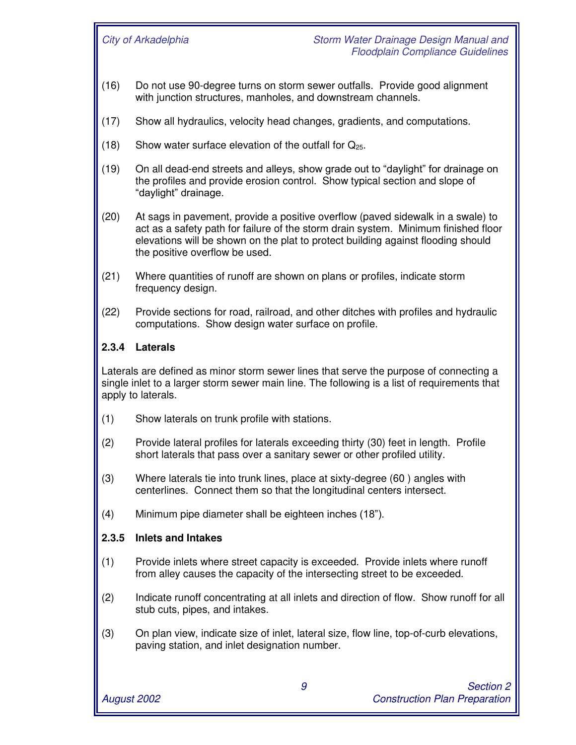- (16) Do not use 90-degree turns on storm sewer outfalls. Provide good alignment with junction structures, manholes, and downstream channels.
- (17) Show all hydraulics, velocity head changes, gradients, and computations.
- (18) Show water surface elevation of the outfall for  $Q_{25}$ .
- (19) On all dead-end streets and alleys, show grade out to "daylight" for drainage on the profiles and provide erosion control. Show typical section and slope of "daylight" drainage.
- (20) At sags in pavement, provide a positive overflow (paved sidewalk in a swale) to act as a safety path for failure of the storm drain system. Minimum finished floor elevations will be shown on the plat to protect building against flooding should the positive overflow be used.
- (21) Where quantities of runoff are shown on plans or profiles, indicate storm frequency design.
- (22) Provide sections for road, railroad, and other ditches with profiles and hydraulic computations. Show design water surface on profile.

#### **2.3.4 Laterals**

Laterals are defined as minor storm sewer lines that serve the purpose of connecting a single inlet to a larger storm sewer main line. The following is a list of requirements that apply to laterals.

- (1) Show laterals on trunk profile with stations.
- (2) Provide lateral profiles for laterals exceeding thirty (30) feet in length. Profile short laterals that pass over a sanitary sewer or other profiled utility.
- (3) Where laterals tie into trunk lines, place at sixty-degree (60 ) angles with centerlines. Connect them so that the longitudinal centers intersect.
- (4) Minimum pipe diameter shall be eighteen inches (18").

#### **2.3.5 Inlets and Intakes**

- (1) Provide inlets where street capacity is exceeded. Provide inlets where runoff from alley causes the capacity of the intersecting street to be exceeded.
- (2) Indicate runoff concentrating at all inlets and direction of flow. Show runoff for all stub cuts, pipes, and intakes.
- (3) On plan view, indicate size of inlet, lateral size, flow line, top-of-curb elevations, paving station, and inlet designation number.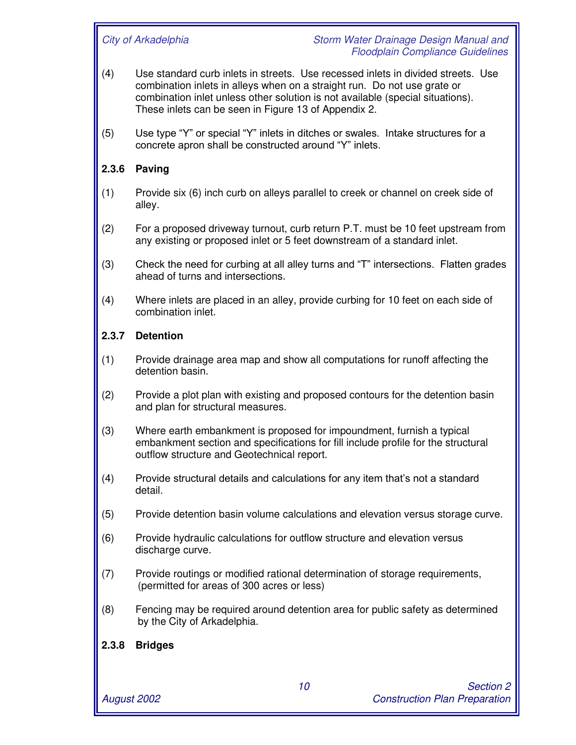- (4) Use standard curb inlets in streets. Use recessed inlets in divided streets. Use combination inlets in alleys when on a straight run. Do not use grate or combination inlet unless other solution is not available (special situations). These inlets can be seen in Figure 13 of Appendix 2.
- (5) Use type "Y" or special "Y" inlets in ditches or swales. Intake structures for a concrete apron shall be constructed around "Y" inlets.

#### **2.3.6 Paving**

- (1) Provide six (6) inch curb on alleys parallel to creek or channel on creek side of alley.
- (2) For a proposed driveway turnout, curb return P.T. must be 10 feet upstream from any existing or proposed inlet or 5 feet downstream of a standard inlet.
- (3) Check the need for curbing at all alley turns and "T" intersections. Flatten grades ahead of turns and intersections.
- (4) Where inlets are placed in an alley, provide curbing for 10 feet on each side of combination inlet.

#### **2.3.7 Detention**

- (1) Provide drainage area map and show all computations for runoff affecting the detention basin.
- (2) Provide a plot plan with existing and proposed contours for the detention basin and plan for structural measures.
- (3) Where earth embankment is proposed for impoundment, furnish a typical embankment section and specifications for fill include profile for the structural outflow structure and Geotechnical report.
- (4) Provide structural details and calculations for any item that's not a standard detail.
- (5) Provide detention basin volume calculations and elevation versus storage curve.
- (6) Provide hydraulic calculations for outflow structure and elevation versus discharge curve.
- (7) Provide routings or modified rational determination of storage requirements, (permitted for areas of 300 acres or less)
- (8) Fencing may be required around detention area for public safety as determined by the City of Arkadelphia.

#### **2.3.8 Bridges**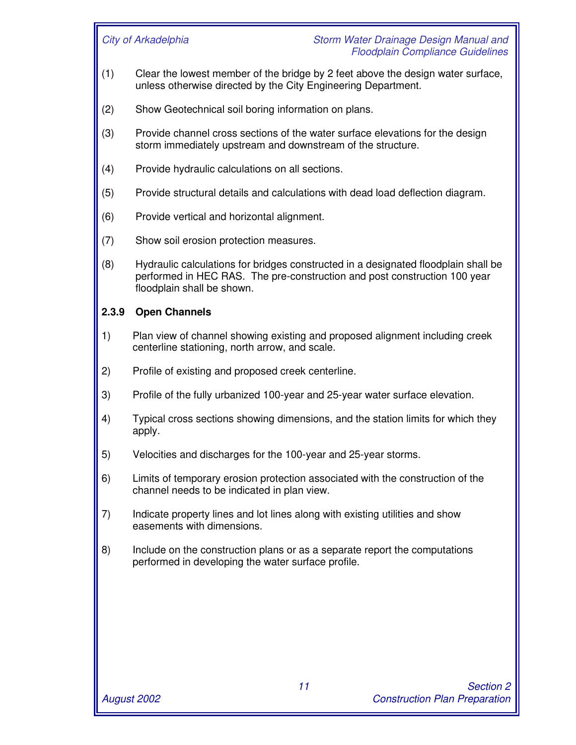- (1) Clear the lowest member of the bridge by 2 feet above the design water surface, unless otherwise directed by the City Engineering Department.
- (2) Show Geotechnical soil boring information on plans.
- (3) Provide channel cross sections of the water surface elevations for the design storm immediately upstream and downstream of the structure.
- (4) Provide hydraulic calculations on all sections.
- (5) Provide structural details and calculations with dead load deflection diagram.
- (6) Provide vertical and horizontal alignment.
- (7) Show soil erosion protection measures.
- (8) Hydraulic calculations for bridges constructed in a designated floodplain shall be performed in HEC RAS. The pre-construction and post construction 100 year floodplain shall be shown.

#### **2.3.9 Open Channels**

- 1) Plan view of channel showing existing and proposed alignment including creek centerline stationing, north arrow, and scale.
- 2) Profile of existing and proposed creek centerline.
- 3) Profile of the fully urbanized 100-year and 25-year water surface elevation.
- 4) Typical cross sections showing dimensions, and the station limits for which they apply.
- 5) Velocities and discharges for the 100-year and 25-year storms.
- 6) Limits of temporary erosion protection associated with the construction of the channel needs to be indicated in plan view.
- 7) Indicate property lines and lot lines along with existing utilities and show easements with dimensions.
- 8) Include on the construction plans or as a separate report the computations performed in developing the water surface profile.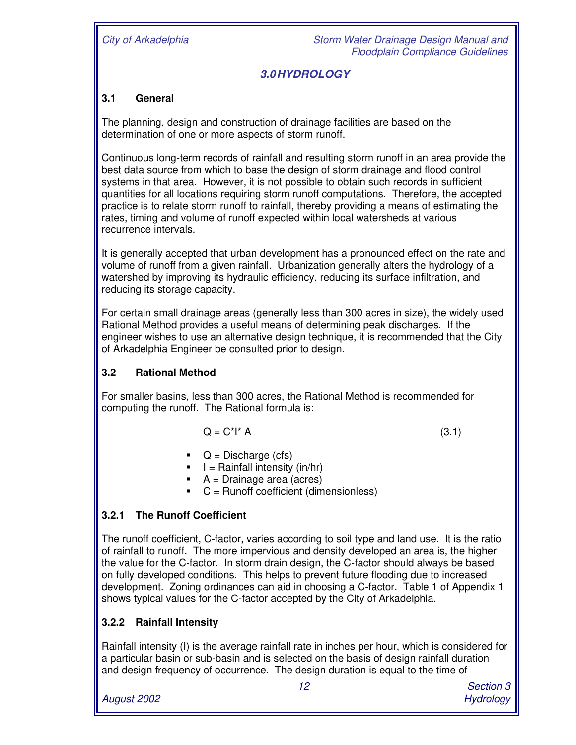# **3.0 HYDROLOGY**

#### **3.1 General**

The planning, design and construction of drainage facilities are based on the determination of one or more aspects of storm runoff.

Continuous long-term records of rainfall and resulting storm runoff in an area provide the best data source from which to base the design of storm drainage and flood control systems in that area. However, it is not possible to obtain such records in sufficient quantities for all locations requiring storm runoff computations. Therefore, the accepted practice is to relate storm runoff to rainfall, thereby providing a means of estimating the rates, timing and volume of runoff expected within local watersheds at various recurrence intervals.

It is generally accepted that urban development has a pronounced effect on the rate and volume of runoff from a given rainfall. Urbanization generally alters the hydrology of a watershed by improving its hydraulic efficiency, reducing its surface infiltration, and reducing its storage capacity.

For certain small drainage areas (generally less than 300 acres in size), the widely used Rational Method provides a useful means of determining peak discharges. If the engineer wishes to use an alternative design technique, it is recommended that the City of Arkadelphia Engineer be consulted prior to design.

# **3.2 Rational Method**

For smaller basins, less than 300 acres, the Rational Method is recommended for computing the runoff. The Rational formula is:

$$
Q = C^*I^* A \tag{3.1}
$$

- $Q =$  Discharge (cfs)
- $\blacksquare$  I = Rainfall intensity (in/hr)
- $\blacksquare$  A = Drainage area (acres)
- C = Runoff coefficient (dimensionless)

# **3.2.1 The Runoff Coefficient**

The runoff coefficient, C-factor, varies according to soil type and land use. It is the ratio of rainfall to runoff. The more impervious and density developed an area is, the higher the value for the C-factor. In storm drain design, the C-factor should always be based on fully developed conditions. This helps to prevent future flooding due to increased development. Zoning ordinances can aid in choosing a C-factor. Table 1 of Appendix 1 shows typical values for the C-factor accepted by the City of Arkadelphia.

# **3.2.2 Rainfall Intensity**

Rainfall intensity (I) is the average rainfall rate in inches per hour, which is considered for a particular basin or sub-basin and is selected on the basis of design rainfall duration and design frequency of occurrence. The design duration is equal to the time of

August 2002 **Hydrology** 

12 Section 3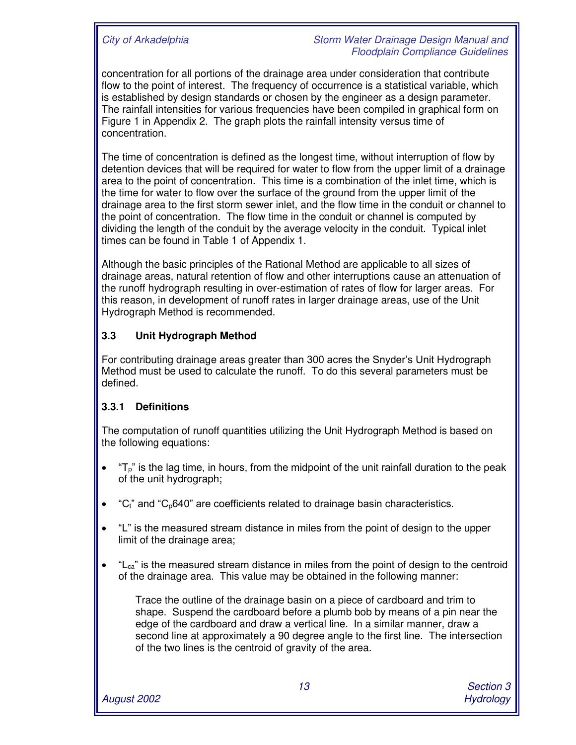concentration for all portions of the drainage area under consideration that contribute flow to the point of interest. The frequency of occurrence is a statistical variable, which is established by design standards or chosen by the engineer as a design parameter. The rainfall intensities for various frequencies have been compiled in graphical form on Figure 1 in Appendix 2. The graph plots the rainfall intensity versus time of concentration.

The time of concentration is defined as the longest time, without interruption of flow by detention devices that will be required for water to flow from the upper limit of a drainage area to the point of concentration. This time is a combination of the inlet time, which is the time for water to flow over the surface of the ground from the upper limit of the drainage area to the first storm sewer inlet, and the flow time in the conduit or channel to the point of concentration. The flow time in the conduit or channel is computed by dividing the length of the conduit by the average velocity in the conduit. Typical inlet times can be found in Table 1 of Appendix 1.

Although the basic principles of the Rational Method are applicable to all sizes of drainage areas, natural retention of flow and other interruptions cause an attenuation of the runoff hydrograph resulting in over-estimation of rates of flow for larger areas. For this reason, in development of runoff rates in larger drainage areas, use of the Unit Hydrograph Method is recommended.

#### **3.3 Unit Hydrograph Method**

For contributing drainage areas greater than 300 acres the Snyder's Unit Hydrograph Method must be used to calculate the runoff. To do this several parameters must be defined.

#### **3.3.1 Definitions**

The computation of runoff quantities utilizing the Unit Hydrograph Method is based on the following equations:

- $T_p$ " is the lag time, in hours, from the midpoint of the unit rainfall duration to the peak of the unit hydrograph;
- $\bullet$  "C<sub>t</sub>" and "C<sub>n</sub>640" are coefficients related to drainage basin characteristics.
- "L" is the measured stream distance in miles from the point of design to the upper limit of the drainage area;
- " $\mathsf{L}_{\text{ca}}$ " is the measured stream distance in miles from the point of design to the centroid of the drainage area. This value may be obtained in the following manner:

Trace the outline of the drainage basin on a piece of cardboard and trim to shape. Suspend the cardboard before a plumb bob by means of a pin near the edge of the cardboard and draw a vertical line. In a similar manner, draw a second line at approximately a 90 degree angle to the first line. The intersection of the two lines is the centroid of gravity of the area.

August 2002 **Hydrology**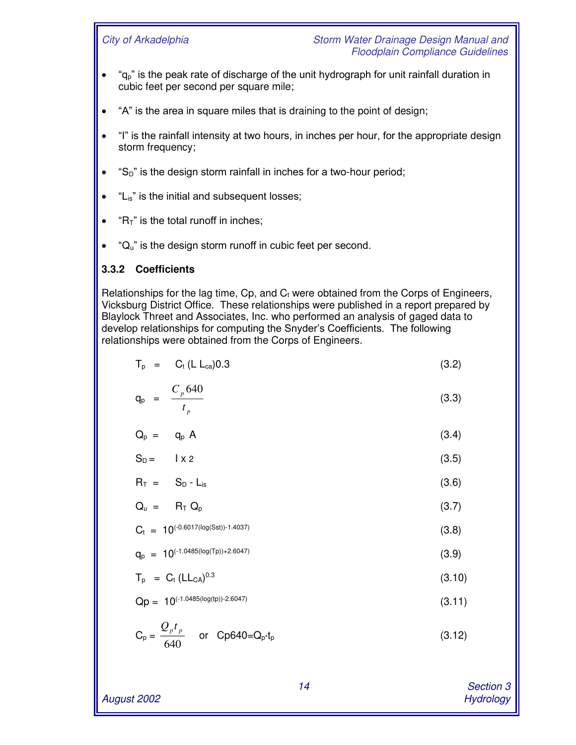- " $q_p$ " is the peak rate of discharge of the unit hydrograph for unit rainfall duration in cubic feet per second per square mile;
- "A" is the area in square miles that is draining to the point of design;
- "I" is the rainfall intensity at two hours, in inches per hour, for the appropriate design storm frequency;
- " $S_D$ " is the design storm rainfall in inches for a two-hour period;
- " $L_i$ <sub>s</sub>" is the initial and subsequent losses;
- " $R_T$ " is the total runoff in inches;
- " $Q<sub>u</sub>$ " is the design storm runoff in cubic feet per second.

#### **3.3.2 Coefficients**

Relationships for the lag time,  $C_p$ , and  $C_t$  were obtained from the Corps of Engineers, Vicksburg District Office. These relationships were published in a report prepared by Blaylock Threet and Associates, Inc. who performed an analysis of gaged data to develop relationships for computing the Snyder's Coefficients. The following relationships were obtained from the Corps of Engineers.

$$
T_p = C_t (L L_{ca}) 0.3 \tag{3.2}
$$

$$
q_p = \frac{C_p 640}{t_p} \tag{3.3}
$$

$$
Q_p = q_p A \qquad (3.4)
$$

$$
S_D = \quad I \times 2 \tag{3.5}
$$

$$
R_T = S_D - L_{is}
$$
 (3.6)

$$
Q_u = R_T Q_p \qquad (3.7)
$$

$$
C_t = 10^{(-0.6017(\log(Sst)) - 1.4037)}
$$
\n(3.8)

 $q_p = 10^{(-1.0485(\log(Tp))+2.6047)}$  (3.9)

 $T_p = C_t (LL_{CA})^{0.3}$  $(3.10)$ 

 $Qp = 10^{(-1.0485(\log(tp)) - 2.6047)}$  (3.11)

$$
C_p = \frac{Q_p t_p}{640} \quad \text{or} \quad C p 640 = Q_p t_p \tag{3.12}
$$

14 Section 3 August 2002 **Hydrology**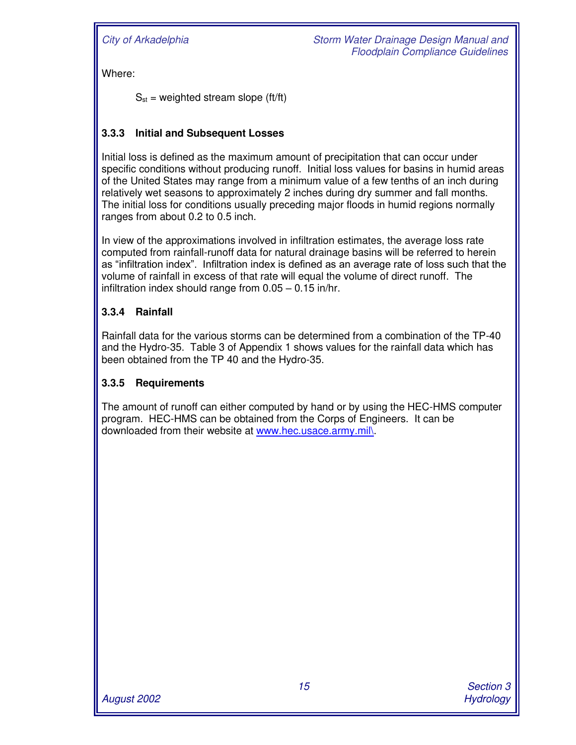Where:

 $S_{st}$  = weighted stream slope (ft/ft)

# **3.3.3 Initial and Subsequent Losses**

Initial loss is defined as the maximum amount of precipitation that can occur under specific conditions without producing runoff. Initial loss values for basins in humid areas of the United States may range from a minimum value of a few tenths of an inch during relatively wet seasons to approximately 2 inches during dry summer and fall months. The initial loss for conditions usually preceding major floods in humid regions normally ranges from about 0.2 to 0.5 inch.

In view of the approximations involved in infiltration estimates, the average loss rate computed from rainfall-runoff data for natural drainage basins will be referred to herein as "infiltration index". Infiltration index is defined as an average rate of loss such that the volume of rainfall in excess of that rate will equal the volume of direct runoff. The infiltration index should range from 0.05 – 0.15 in/hr.

# **3.3.4 Rainfall**

Rainfall data for the various storms can be determined from a combination of the TP-40 and the Hydro-35. Table 3 of Appendix 1 shows values for the rainfall data which has been obtained from the TP 40 and the Hydro-35.

# **3.3.5 Requirements**

The amount of runoff can either computed by hand or by using the HEC-HMS computer program. HEC-HMS can be obtained from the Corps of Engineers. It can be downloaded from their website at www.hec.usace.army.mil\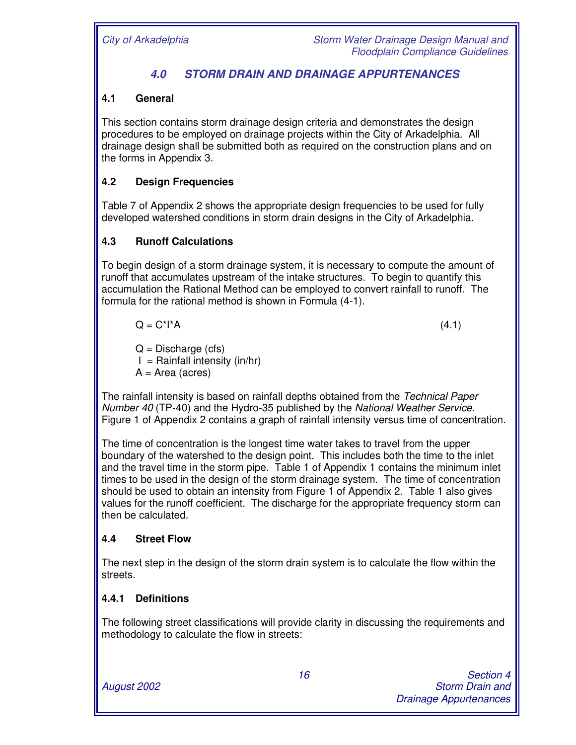# **4.0 STORM DRAIN AND DRAINAGE APPURTENANCES**

# **4.1 General**

This section contains storm drainage design criteria and demonstrates the design procedures to be employed on drainage projects within the City of Arkadelphia. All drainage design shall be submitted both as required on the construction plans and on the forms in Appendix 3.

# **4.2 Design Frequencies**

Table 7 of Appendix 2 shows the appropriate design frequencies to be used for fully developed watershed conditions in storm drain designs in the City of Arkadelphia.

# **4.3 Runoff Calculations**

To begin design of a storm drainage system, it is necessary to compute the amount of runoff that accumulates upstream of the intake structures. To begin to quantify this accumulation the Rational Method can be employed to convert rainfall to runoff. The formula for the rational method is shown in Formula (4-1).

$$
Q = C^*I^*A \tag{4.1}
$$

 $Q =$  Discharge (cfs)

 $I =$  Rainfall intensity (in/hr)

 $A = Area (acres)$ 

The rainfall intensity is based on rainfall depths obtained from the Technical Paper Number 40 (TP-40) and the Hydro-35 published by the National Weather Service. Figure 1 of Appendix 2 contains a graph of rainfall intensity versus time of concentration.

The time of concentration is the longest time water takes to travel from the upper boundary of the watershed to the design point. This includes both the time to the inlet and the travel time in the storm pipe. Table 1 of Appendix 1 contains the minimum inlet times to be used in the design of the storm drainage system. The time of concentration should be used to obtain an intensity from Figure 1 of Appendix 2. Table 1 also gives values for the runoff coefficient. The discharge for the appropriate frequency storm can then be calculated.

# **4.4 Street Flow**

The next step in the design of the storm drain system is to calculate the flow within the streets.

# **4.4.1 Definitions**

The following street classifications will provide clarity in discussing the requirements and methodology to calculate the flow in streets: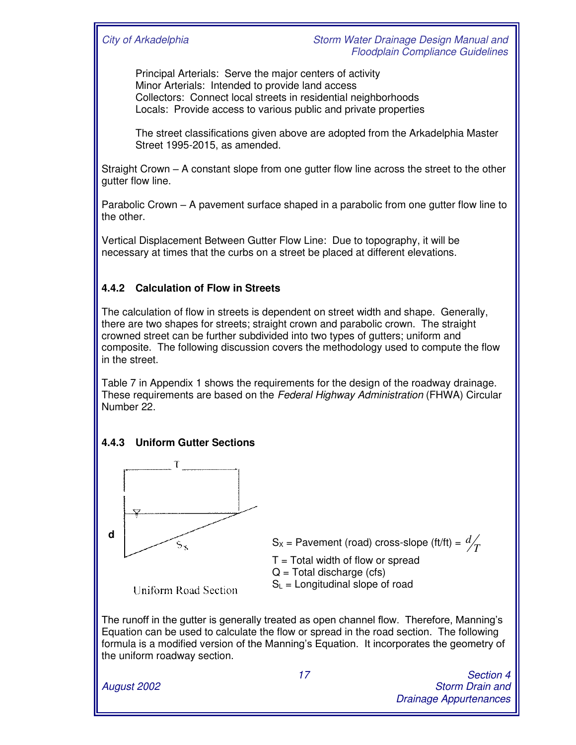Principal Arterials: Serve the major centers of activity Minor Arterials: Intended to provide land access Collectors: Connect local streets in residential neighborhoods Locals: Provide access to various public and private properties

The street classifications given above are adopted from the Arkadelphia Master Street 1995-2015, as amended.

Straight Crown – A constant slope from one gutter flow line across the street to the other gutter flow line.

Parabolic Crown – A pavement surface shaped in a parabolic from one gutter flow line to the other.

Vertical Displacement Between Gutter Flow Line: Due to topography, it will be necessary at times that the curbs on a street be placed at different elevations.

# **4.4.2 Calculation of Flow in Streets**

The calculation of flow in streets is dependent on street width and shape. Generally, there are two shapes for streets; straight crown and parabolic crown. The straight crowned street can be further subdivided into two types of gutters; uniform and composite. The following discussion covers the methodology used to compute the flow in the street.

Table 7 in Appendix 1 shows the requirements for the design of the roadway drainage. These requirements are based on the Federal Highway Administration (FHWA) Circular Number 22.

# **4.4.3 Uniform Gutter Sections**

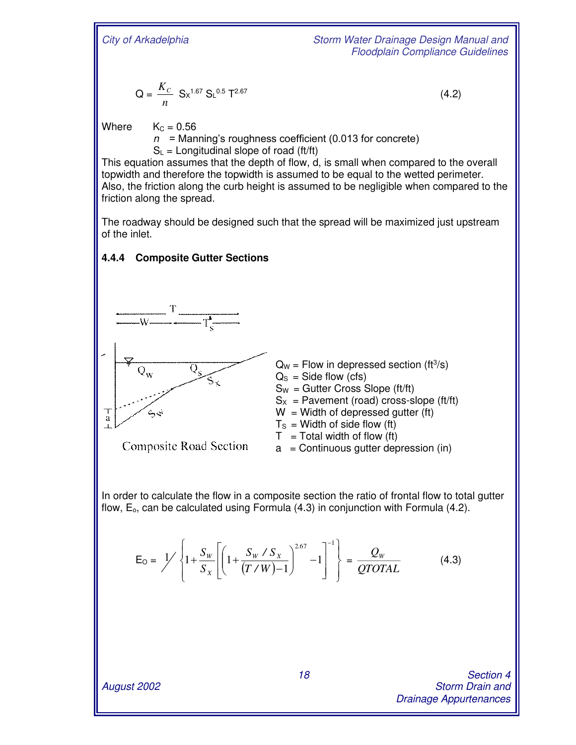$$
Q = \frac{K_c}{n} S_{\chi}^{1.67} S_{L}^{0.5} T^{2.67}
$$
 (4.2)

Where  $K_C = 0.56$ 

 $n =$  Manning's roughness coefficient (0.013 for concrete)

 $S_L$  = Longitudinal slope of road (ft/ft)

This equation assumes that the depth of flow, d, is small when compared to the overall topwidth and therefore the topwidth is assumed to be equal to the wetted perimeter. Also, the friction along the curb height is assumed to be negligible when compared to the friction along the spread.

The roadway should be designed such that the spread will be maximized just upstream of the inlet.

#### **4.4.4 Composite Gutter Sections**



$$
E_{\rm O} = \frac{1}{\pi} \left\{ 1 + \frac{S_{\rm w}}{S_{\rm x}} \left[ \left( 1 + \frac{S_{\rm w} / S_{\rm x}}{(T / W) - 1} \right)^{2.67} - 1 \right]^{-1} \right\} = \frac{Q_{\rm w}}{QTOTAL} \tag{4.3}
$$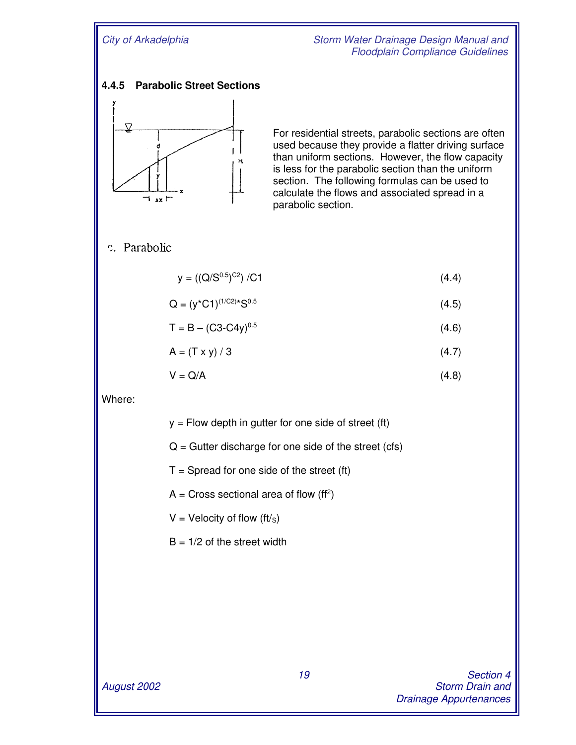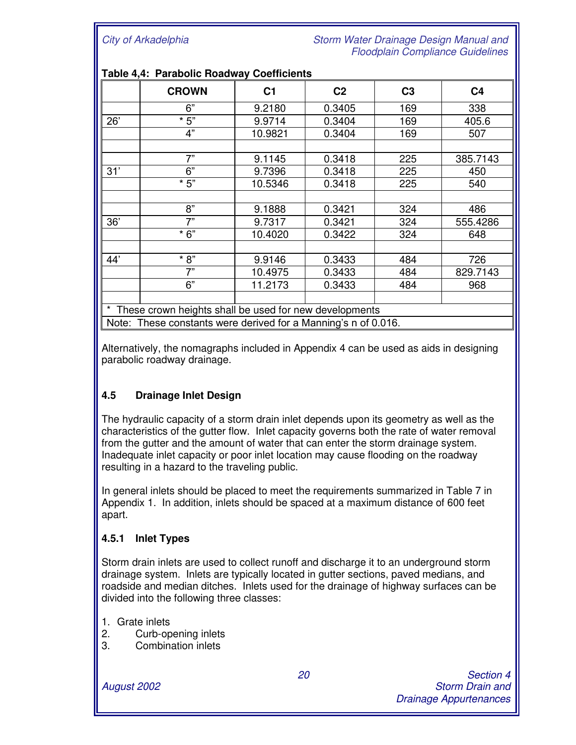|                                                                | <b>CROWN</b> | C <sub>1</sub> | C <sub>2</sub> | C <sub>3</sub> | C4       |
|----------------------------------------------------------------|--------------|----------------|----------------|----------------|----------|
|                                                                | 6"           | 9.2180         | 0.3405         | 169            | 338      |
| 26'                                                            | $*5"$        | 9.9714         | 0.3404         | 169            | 405.6    |
|                                                                | 4"           | 10.9821        | 0.3404         | 169            | 507      |
|                                                                |              |                |                |                |          |
|                                                                | 7"           | 9.1145         | 0.3418         | 225            | 385.7143 |
| 31'                                                            | 6"           | 9.7396         | 0.3418         | 225            | 450      |
|                                                                | $*5"$        | 10.5346        | 0.3418         | 225            | 540      |
|                                                                |              |                |                |                |          |
|                                                                | 8"           | 9.1888         | 0.3421         | 324            | 486      |
| 36'                                                            | 7"           | 9.7317         | 0.3421         | 324            | 555.4286 |
|                                                                | $* 6"$       | 10.4020        | 0.3422         | 324            | 648      |
|                                                                |              |                |                |                |          |
| 44'                                                            | * 8"         | 9.9146         | 0.3433         | 484            | 726      |
|                                                                | 7"           | 10.4975        | 0.3433         | 484            | 829.7143 |
|                                                                | 6"           | 11.2173        | 0.3433         | 484            | 968      |
|                                                                |              |                |                |                |          |
| These crown heights shall be used for new developments         |              |                |                |                |          |
| Note: These constants were derived for a Manning's n of 0.016. |              |                |                |                |          |

**Table 4,4: Parabolic Roadway Coefficients** 

Alternatively, the nomagraphs included in Appendix 4 can be used as aids in designing parabolic roadway drainage.

# **4.5 Drainage Inlet Design**

The hydraulic capacity of a storm drain inlet depends upon its geometry as well as the characteristics of the gutter flow. Inlet capacity governs both the rate of water removal from the gutter and the amount of water that can enter the storm drainage system. Inadequate inlet capacity or poor inlet location may cause flooding on the roadway resulting in a hazard to the traveling public.

In general inlets should be placed to meet the requirements summarized in Table 7 in Appendix 1. In addition, inlets should be spaced at a maximum distance of 600 feet apart.

#### **4.5.1 Inlet Types**

Storm drain inlets are used to collect runoff and discharge it to an underground storm drainage system. Inlets are typically located in gutter sections, paved medians, and roadside and median ditches. Inlets used for the drainage of highway surfaces can be divided into the following three classes:

- 1. Grate inlets
- 2. Curb-opening inlets
- 3. Combination inlets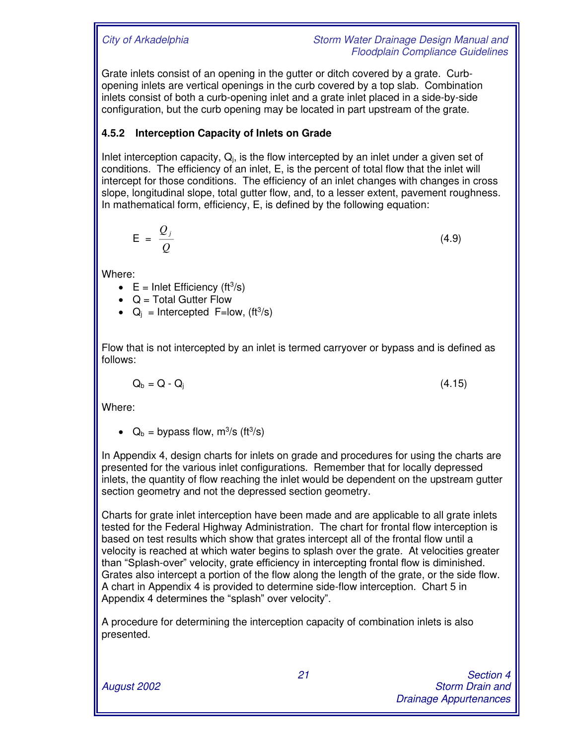Grate inlets consist of an opening in the gutter or ditch covered by a grate. Curbopening inlets are vertical openings in the curb covered by a top slab. Combination inlets consist of both a curb-opening inlet and a grate inlet placed in a side-by-side configuration, but the curb opening may be located in part upstream of the grate.

# **4.5.2 Interception Capacity of Inlets on Grade**

Inlet interception capacity,  $Q_i$ , is the flow intercepted by an inlet under a given set of conditions. The efficiency of an inlet, E, is the percent of total flow that the inlet will intercept for those conditions. The efficiency of an inlet changes with changes in cross slope, longitudinal slope, total gutter flow, and, to a lesser extent, pavement roughness. In mathematical form, efficiency, E, is defined by the following equation:

$$
E = \frac{Q_j}{Q} \tag{4.9}
$$

Where:

- $E =$  Inlet Efficiency (ft<sup>3</sup>/s)
- $Q = \text{Total Gutter Flow}$
- $Q_i$  = Intercepted F=low, (ft<sup>3</sup>/s)

Flow that is not intercepted by an inlet is termed carryover or bypass and is defined as follows:

$$
Q_b = Q - Q_j \tag{4.15}
$$

Where:

•  $Q_b$  = bypass flow, m<sup>3</sup>/s (ft<sup>3</sup>/s)

In Appendix 4, design charts for inlets on grade and procedures for using the charts are presented for the various inlet configurations. Remember that for locally depressed inlets, the quantity of flow reaching the inlet would be dependent on the upstream gutter section geometry and not the depressed section geometry.

Charts for grate inlet interception have been made and are applicable to all grate inlets tested for the Federal Highway Administration. The chart for frontal flow interception is based on test results which show that grates intercept all of the frontal flow until a velocity is reached at which water begins to splash over the grate. At velocities greater than "Splash-over" velocity, grate efficiency in intercepting frontal flow is diminished. Grates also intercept a portion of the flow along the length of the grate, or the side flow. A chart in Appendix 4 is provided to determine side-flow interception. Chart 5 in Appendix 4 determines the "splash" over velocity".

A procedure for determining the interception capacity of combination inlets is also presented.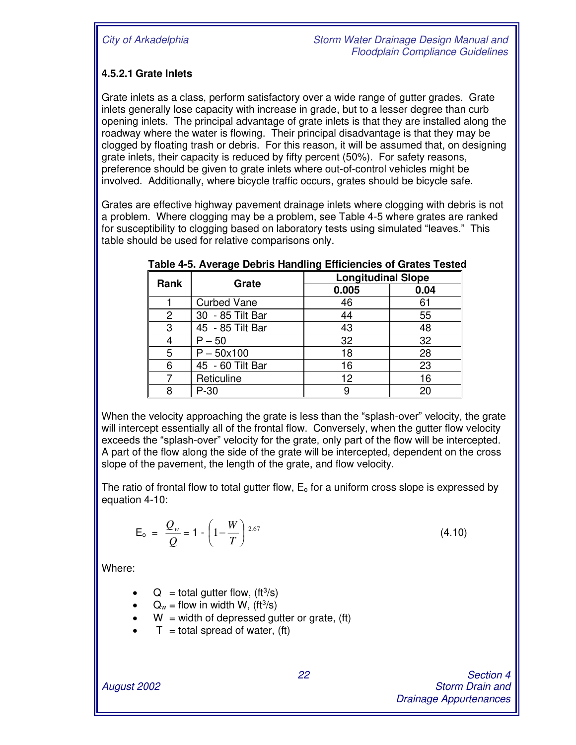# **4.5.2.1 Grate Inlets**

Grate inlets as a class, perform satisfactory over a wide range of gutter grades. Grate inlets generally lose capacity with increase in grade, but to a lesser degree than curb opening inlets. The principal advantage of grate inlets is that they are installed along the roadway where the water is flowing. Their principal disadvantage is that they may be clogged by floating trash or debris. For this reason, it will be assumed that, on designing grate inlets, their capacity is reduced by fifty percent (50%). For safety reasons, preference should be given to grate inlets where out-of-control vehicles might be involved. Additionally, where bicycle traffic occurs, grates should be bicycle safe.

Grates are effective highway pavement drainage inlets where clogging with debris is not a problem. Where clogging may be a problem, see Table 4-5 where grates are ranked for susceptibility to clogging based on laboratory tests using simulated "leaves." This table should be used for relative comparisons only.

| Rank | Grate              | <b>Longitudinal Slope</b> |      |  |
|------|--------------------|---------------------------|------|--|
|      |                    | 0.005                     | 0.04 |  |
|      | <b>Curbed Vane</b> | 46                        | 61   |  |
| 2    | 30 - 85 Tilt Bar   | 44                        | 55   |  |
| 3    | 45 - 85 Tilt Bar   | 43                        | 48   |  |
|      | $P - 50$           | 32                        | 32   |  |
| 5    | $P - 50x100$       | 18                        | 28   |  |
| 6    | 45 - 60 Tilt Bar   | 16                        | 23   |  |
|      | Reticuline         | 12 <sup>2</sup>           | 16   |  |
| я    | $P-30$             |                           | 20   |  |

#### **Table 4-5. Average Debris Handling Efficiencies of Grates Tested**

When the velocity approaching the grate is less than the "splash-over" velocity, the grate will intercept essentially all of the frontal flow. Conversely, when the gutter flow velocity exceeds the "splash-over" velocity for the grate, only part of the flow will be intercepted. A part of the flow along the side of the grate will be intercepted, dependent on the cross slope of the pavement, the length of the grate, and flow velocity.

The ratio of frontal flow to total gutter flow,  $E_0$  for a uniform cross slope is expressed by equation 4-10:

$$
E_o = \frac{Q_w}{Q} = 1 - \left(1 - \frac{W}{T}\right)^{2.67}
$$
 (4.10)

Where:

- $Q =$  total gutter flow, (ft<sup>3</sup>/s)
- $Q_w =$  flow in width W, (ft<sup>3</sup>/s)
- $W =$  width of depressed gutter or grate, (ft)
- $T =$  total spread of water, (ft)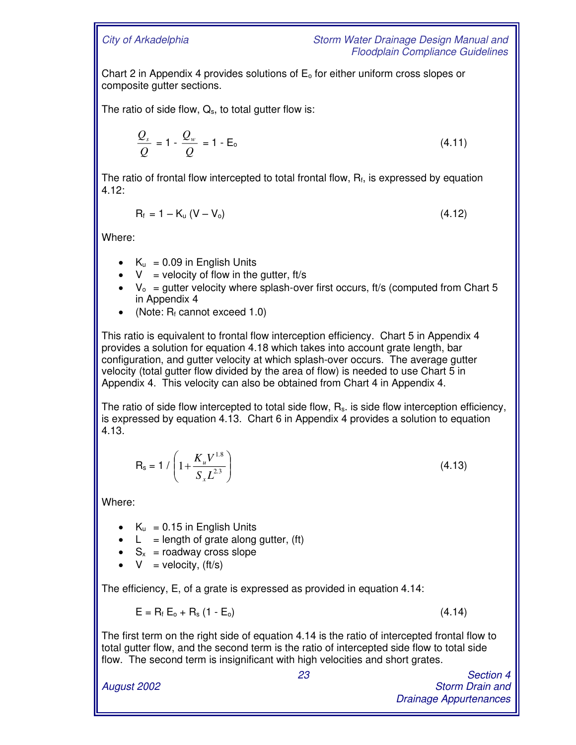Chart 2 in Appendix 4 provides solutions of  $E_0$  for either uniform cross slopes or composite gutter sections.

The ratio of side flow,  $Q_s$ , to total gutter flow is:

$$
\frac{Q_s}{Q} = 1 - \frac{Q_w}{Q} = 1 - E_o \tag{4.11}
$$

The ratio of frontal flow intercepted to total frontal flow,  $R_f$ , is expressed by equation 4.12:

$$
R_{f} = 1 - K_{u} (V - V_{o})
$$
 (4.12)

Where:

- $K_u = 0.09$  in English Units
- $V =$  velocity of flow in the gutter, ft/s
- $V_0$  = gutter velocity where splash-over first occurs, ft/s (computed from Chart 5 in Appendix 4
- (Note:  $R_f$  cannot exceed 1.0)

This ratio is equivalent to frontal flow interception efficiency. Chart 5 in Appendix 4 provides a solution for equation 4.18 which takes into account grate length, bar configuration, and gutter velocity at which splash-over occurs. The average gutter velocity (total gutter flow divided by the area of flow) is needed to use Chart 5 in Appendix 4. This velocity can also be obtained from Chart 4 in Appendix 4.

The ratio of side flow intercepted to total side flow,  $R_s$ , is side flow interception efficiency, is expressed by equation 4.13. Chart 6 in Appendix 4 provides a solution to equation 4.13.

$$
R_s = 1 / \left( 1 + \frac{K_u V^{1.8}}{S_x L^{2.3}} \right)
$$
 (4.13)

Where:

- $K_u = 0.15$  in English Units
- $L = length of grade along gutter, (ft)$
- $S_x$  = roadway cross slope
- $V =$  velocity, (ft/s)

The efficiency, E, of a grate is expressed as provided in equation 4.14:

$$
E = R_f E_o + R_s (1 - E_o)
$$
 (4.14)

The first term on the right side of equation 4.14 is the ratio of intercepted frontal flow to total gutter flow, and the second term is the ratio of intercepted side flow to total side flow. The second term is insignificant with high velocities and short grates.

23 Section 4 August 2002 **Storm Drain and Storm Drain and Storm Drain** and Storm Drain and Storm Drain and Storm Drain and Storm Drain and Storm Drain and Storm Drain and Storm Drain and Storm Drain and Storm Drain and Storm Drain and Drainage Appurtenances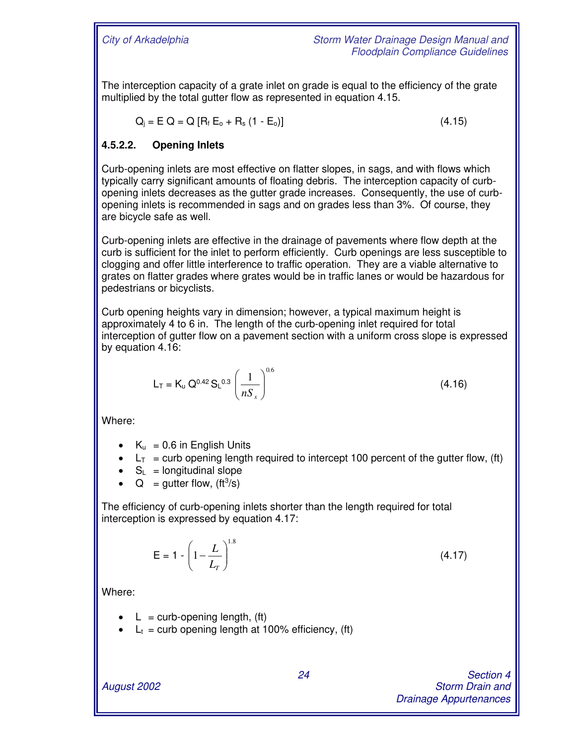The interception capacity of a grate inlet on grade is equal to the efficiency of the grate multiplied by the total gutter flow as represented in equation 4.15.

$$
Q_j = E Q = Q [R_f E_o + R_s (1 - E_o)]
$$
 (4.15)

#### **4.5.2.2. Opening Inlets**

Curb-opening inlets are most effective on flatter slopes, in sags, and with flows which typically carry significant amounts of floating debris. The interception capacity of curbopening inlets decreases as the gutter grade increases. Consequently, the use of curbopening inlets is recommended in sags and on grades less than 3%. Of course, they are bicycle safe as well.

Curb-opening inlets are effective in the drainage of pavements where flow depth at the curb is sufficient for the inlet to perform efficiently. Curb openings are less susceptible to clogging and offer little interference to traffic operation. They are a viable alternative to grates on flatter grades where grates would be in traffic lanes or would be hazardous for pedestrians or bicyclists.

Curb opening heights vary in dimension; however, a typical maximum height is approximately 4 to 6 in. The length of the curb-opening inlet required for total interception of gutter flow on a pavement section with a uniform cross slope is expressed by equation 4.16:

$$
L_T = K_u Q^{0.42} S_L^{0.3} \left(\frac{1}{nS_x}\right)^{0.6}
$$
 (4.16)

Where:

- $K_u = 0.6$  in English Units
- $L<sub>T</sub>$  = curb opening length required to intercept 100 percent of the gutter flow, (ft)
- $S_{L}$  = longitudinal slope
- $Q =$  gutter flow, (ft<sup>3</sup>/s)

The efficiency of curb-opening inlets shorter than the length required for total interception is expressed by equation 4.17:

$$
E = 1 - \left(1 - \frac{L}{L_T}\right)^{1.8}
$$
 (4.17)

Where:

- $L = \text{curl}-\text{open}$  length, (ft)
- $L_t$  = curb opening length at 100% efficiency, (ft)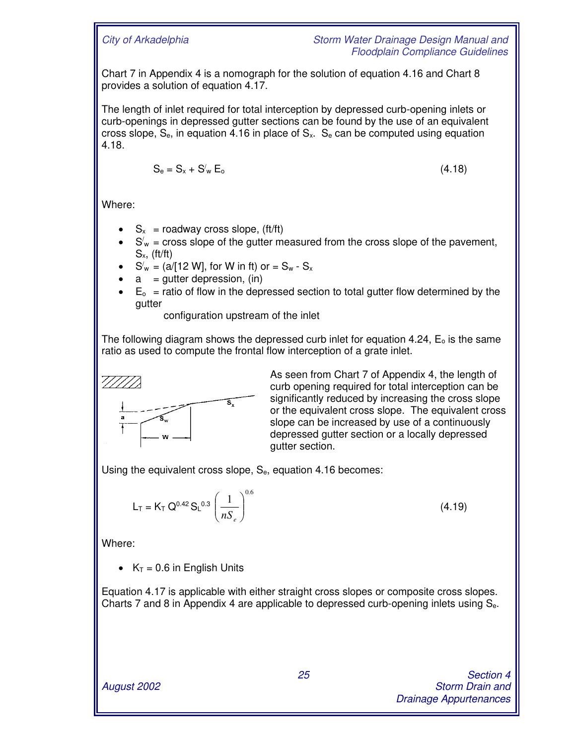Chart 7 in Appendix 4 is a nomograph for the solution of equation 4.16 and Chart 8 provides a solution of equation 4.17.

The length of inlet required for total interception by depressed curb-opening inlets or curb-openings in depressed gutter sections can be found by the use of an equivalent cross slope,  $S_e$ , in equation 4.16 in place of  $S_x$ .  $S_e$  can be computed using equation 4.18.

$$
S_e = S_x + S'_w E_o \tag{4.18}
$$

Where:

- $S_x$  = roadway cross slope, (ft/ft)
- $\bullet$   $S'_w$  = cross slope of the gutter measured from the cross slope of the pavement,  $S_{x}$ , (ft/ft)
- $S'_{w} = (a/[12 \text{ W}], \text{ for W in ft}) \text{ or } = S_{w} \cdot S_{x}$
- $a =$  gutter depression, (in)
- $E_0$  = ratio of flow in the depressed section to total gutter flow determined by the gutter

configuration upstream of the inlet

The following diagram shows the depressed curb inlet for equation 4.24,  $E_0$  is the same ratio as used to compute the frontal flow interception of a grate inlet.



As seen from Chart 7 of Appendix 4, the length of curb opening required for total interception can be significantly reduced by increasing the cross slope or the equivalent cross slope. The equivalent cross slope can be increased by use of a continuously depressed gutter section or a locally depressed gutter section.

Using the equivalent cross slope, S<sub>e</sub>, equation 4.16 becomes:

$$
L_{T} = K_{T} Q^{0.42} S_{L}^{0.3} \left(\frac{1}{nS_{e}}\right)^{0.6}
$$

(4.19)

Where:

•  $K_T = 0.6$  in English Units

Equation 4.17 is applicable with either straight cross slopes or composite cross slopes. Charts 7 and 8 in Appendix 4 are applicable to depressed curb-opening inlets using  $S_{e}$ .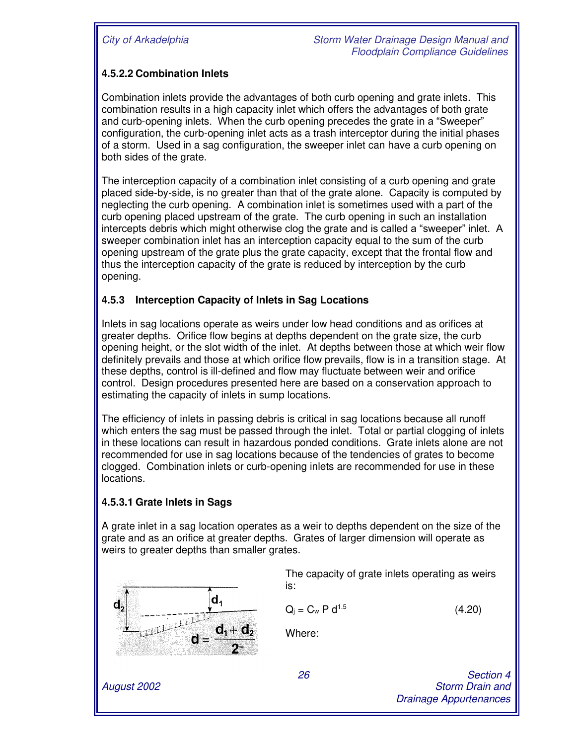# **4.5.2.2 Combination Inlets**

Combination inlets provide the advantages of both curb opening and grate inlets. This combination results in a high capacity inlet which offers the advantages of both grate and curb-opening inlets. When the curb opening precedes the grate in a "Sweeper" configuration, the curb-opening inlet acts as a trash interceptor during the initial phases of a storm. Used in a sag configuration, the sweeper inlet can have a curb opening on both sides of the grate.

The interception capacity of a combination inlet consisting of a curb opening and grate placed side-by-side, is no greater than that of the grate alone. Capacity is computed by neglecting the curb opening. A combination inlet is sometimes used with a part of the curb opening placed upstream of the grate. The curb opening in such an installation intercepts debris which might otherwise clog the grate and is called a "sweeper" inlet. A sweeper combination inlet has an interception capacity equal to the sum of the curb opening upstream of the grate plus the grate capacity, except that the frontal flow and thus the interception capacity of the grate is reduced by interception by the curb opening.

#### **4.5.3 Interception Capacity of Inlets in Sag Locations**

Inlets in sag locations operate as weirs under low head conditions and as orifices at greater depths. Orifice flow begins at depths dependent on the grate size, the curb opening height, or the slot width of the inlet. At depths between those at which weir flow definitely prevails and those at which orifice flow prevails, flow is in a transition stage. At these depths, control is ill-defined and flow may fluctuate between weir and orifice control. Design procedures presented here are based on a conservation approach to estimating the capacity of inlets in sump locations.

The efficiency of inlets in passing debris is critical in sag locations because all runoff which enters the sag must be passed through the inlet. Total or partial clogging of inlets in these locations can result in hazardous ponded conditions. Grate inlets alone are not recommended for use in sag locations because of the tendencies of grates to become clogged. Combination inlets or curb-opening inlets are recommended for use in these locations.

# **4.5.3.1 Grate Inlets in Sags**

A grate inlet in a sag location operates as a weir to depths dependent on the size of the grate and as an orifice at greater depths. Grates of larger dimension will operate as weirs to greater depths than smaller grates.

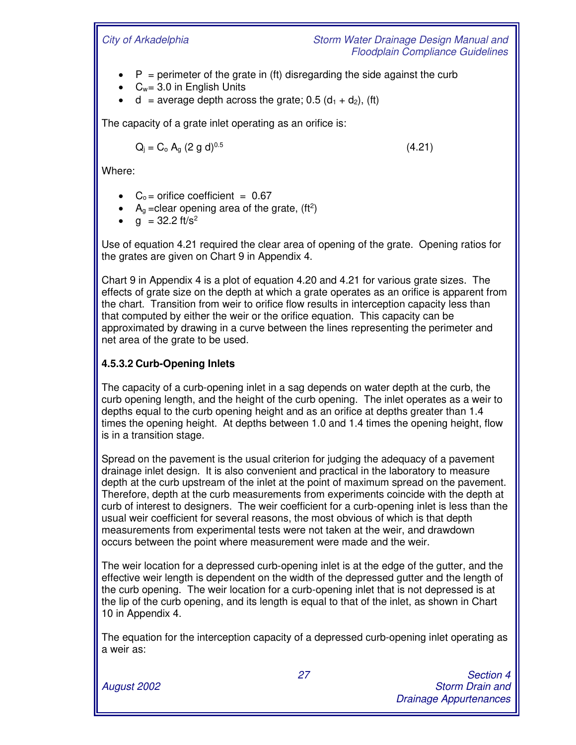- $P =$  perimeter of the grate in (ft) disregarding the side against the curb
- $C_w = 3.0$  in English Units
- $d =$  average depth across the grate; 0.5 ( $d_1 + d_2$ ), (ft)

The capacity of a grate inlet operating as an orifice is:

 $Q_i = C_o A_g (2 g d)^{0.5}$  (4.21)

Where:

- $C_0$  = orifice coefficient = 0.67
- A<sub>g</sub>=clear opening area of the grate, (ft<sup>2</sup>)
- $g = 32.2 \text{ ft/s}^2$

Use of equation 4.21 required the clear area of opening of the grate. Opening ratios for the grates are given on Chart 9 in Appendix 4.

Chart 9 in Appendix 4 is a plot of equation 4.20 and 4.21 for various grate sizes. The effects of grate size on the depth at which a grate operates as an orifice is apparent from the chart. Transition from weir to orifice flow results in interception capacity less than that computed by either the weir or the orifice equation. This capacity can be approximated by drawing in a curve between the lines representing the perimeter and net area of the grate to be used.

# **4.5.3.2 Curb-Opening Inlets**

The capacity of a curb-opening inlet in a sag depends on water depth at the curb, the curb opening length, and the height of the curb opening. The inlet operates as a weir to depths equal to the curb opening height and as an orifice at depths greater than 1.4 times the opening height. At depths between 1.0 and 1.4 times the opening height, flow is in a transition stage.

Spread on the pavement is the usual criterion for judging the adequacy of a pavement drainage inlet design. It is also convenient and practical in the laboratory to measure depth at the curb upstream of the inlet at the point of maximum spread on the pavement. Therefore, depth at the curb measurements from experiments coincide with the depth at curb of interest to designers. The weir coefficient for a curb-opening inlet is less than the usual weir coefficient for several reasons, the most obvious of which is that depth measurements from experimental tests were not taken at the weir, and drawdown occurs between the point where measurement were made and the weir.

The weir location for a depressed curb-opening inlet is at the edge of the gutter, and the effective weir length is dependent on the width of the depressed gutter and the length of the curb opening. The weir location for a curb-opening inlet that is not depressed is at the lip of the curb opening, and its length is equal to that of the inlet, as shown in Chart 10 in Appendix 4.

The equation for the interception capacity of a depressed curb-opening inlet operating as a weir as:

27 Section 4 August 2002 **Storm Drain and Storm Drain and Storm Drain** and Storm Drain and Storm Drain and Storm Drain and Storm Drain and Storm Drain and Storm Drain and Storm Drain and Storm Drain and Storm Drain and Storm Drain and Drainage Appurtenances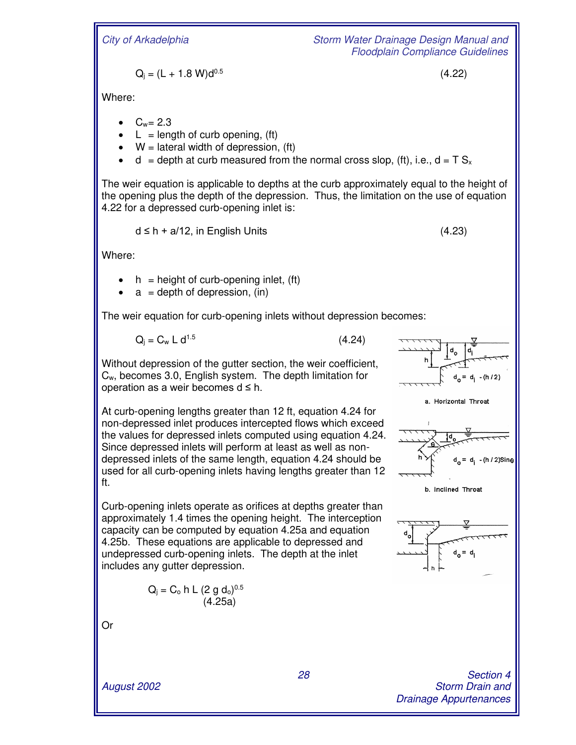$$
Q_j = (L + 1.8 W)d^{0.5}
$$
 (4.22)

Where:

- $C_w = 2.3$
- $L =$  length of curb opening, (ft)
- $W =$  lateral width of depression, (ft)
- $d =$  depth at curb measured from the normal cross slop, (ft), i.e.,  $d = T S<sub>x</sub>$

The weir equation is applicable to depths at the curb approximately equal to the height of the opening plus the depth of the depression. Thus, the limitation on the use of equation 4.22 for a depressed curb-opening inlet is:

$$
d \le h + a/12, \text{ in English Units} \tag{4.23}
$$

Where:

- $h =$  height of curb-opening inlet, (ft)
- $a =$  depth of depression, (in)

The weir equation for curb-opening inlets without depression becomes:

$$
Q_j = C_w \, L \, d^{1.5} \tag{4.24}
$$

Without depression of the gutter section, the weir coefficient, Cw, becomes 3.0, English system. The depth limitation for operation as a weir becomes d ≤ h.

At curb-opening lengths greater than 12 ft, equation 4.24 for non-depressed inlet produces intercepted flows which exceed the values for depressed inlets computed using equation 4.24. Since depressed inlets will perform at least as well as nondepressed inlets of the same length, equation 4.24 should be used for all curb-opening inlets having lengths greater than 12 ft.

Curb-opening inlets operate as orifices at depths greater than approximately 1.4 times the opening height. The interception capacity can be computed by equation 4.25a and equation 4.25b. These equations are applicable to depressed and undepressed curb-opening inlets. The depth at the inlet includes any gutter depression.

$$
Q_j = C_o \ h \ L \ (2 \ g \ d_o)^{0.5}
$$
  
(4.25a)



Or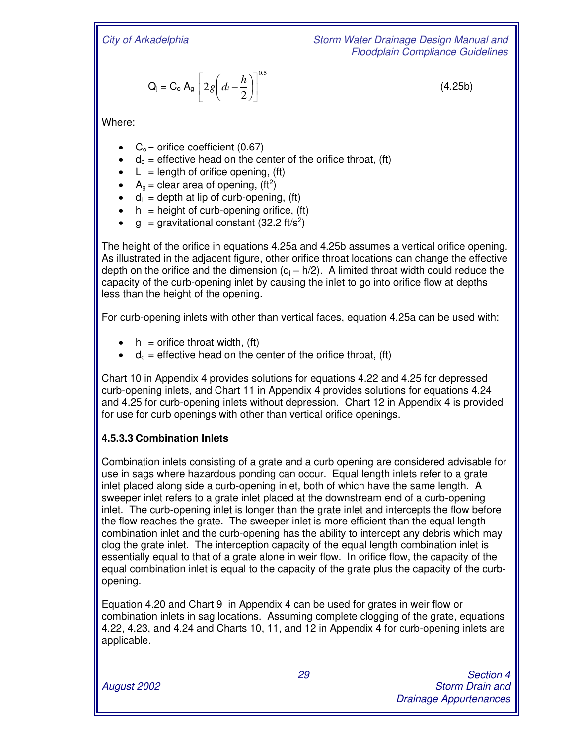$$
Q_j = C_o A_g \left[ 2g \left( d_i - \frac{h}{2} \right) \right]^{0.5}
$$

*(A.25b)* 

Where:

- $C_0$  = orifice coefficient (0.67)
- $d_0$  = effective head on the center of the orifice throat, (ft)
- $L =$  length of orifice opening, (ft)
- $A_g$  = clear area of opening, (ft<sup>2</sup>)
- $d_i$  = depth at lip of curb-opening, (ft)
- $h =$  height of curb-opening orifice, (ft)
- $g =$  gravitational constant (32.2 ft/s<sup>2</sup>)

The height of the orifice in equations 4.25a and 4.25b assumes a vertical orifice opening. As illustrated in the adjacent figure, other orifice throat locations can change the effective depth on the orifice and the dimension  $(d<sub>i</sub> - h/2)$ . A limited throat width could reduce the capacity of the curb-opening inlet by causing the inlet to go into orifice flow at depths less than the height of the opening.

For curb-opening inlets with other than vertical faces, equation 4.25a can be used with:

- $h =$  orifice throat width, (ft)
- $d_0$  = effective head on the center of the orifice throat, (ft)

Chart 10 in Appendix 4 provides solutions for equations 4.22 and 4.25 for depressed curb-opening inlets, and Chart 11 in Appendix 4 provides solutions for equations 4.24 and 4.25 for curb-opening inlets without depression. Chart 12 in Appendix 4 is provided for use for curb openings with other than vertical orifice openings.

# **4.5.3.3 Combination Inlets**

Combination inlets consisting of a grate and a curb opening are considered advisable for use in sags where hazardous ponding can occur. Equal length inlets refer to a grate inlet placed along side a curb-opening inlet, both of which have the same length. A sweeper inlet refers to a grate inlet placed at the downstream end of a curb-opening inlet. The curb-opening inlet is longer than the grate inlet and intercepts the flow before the flow reaches the grate. The sweeper inlet is more efficient than the equal length combination inlet and the curb-opening has the ability to intercept any debris which may clog the grate inlet. The interception capacity of the equal length combination inlet is essentially equal to that of a grate alone in weir flow. In orifice flow, the capacity of the equal combination inlet is equal to the capacity of the grate plus the capacity of the curbopening.

Equation 4.20 and Chart 9 in Appendix 4 can be used for grates in weir flow or combination inlets in sag locations. Assuming complete clogging of the grate, equations 4.22, 4.23, and 4.24 and Charts 10, 11, and 12 in Appendix 4 for curb-opening inlets are applicable.

29 Section 4 August 2002 **Storm Drain and Storm Drain and Storm Drain** and Storm Drain and Storm Drain and Storm Drain and Storm Drain and Storm Drain and Storm Drain and Storm Drain and Storm Drain and Storm Drain and Storm Drain and Drainage Appurtenances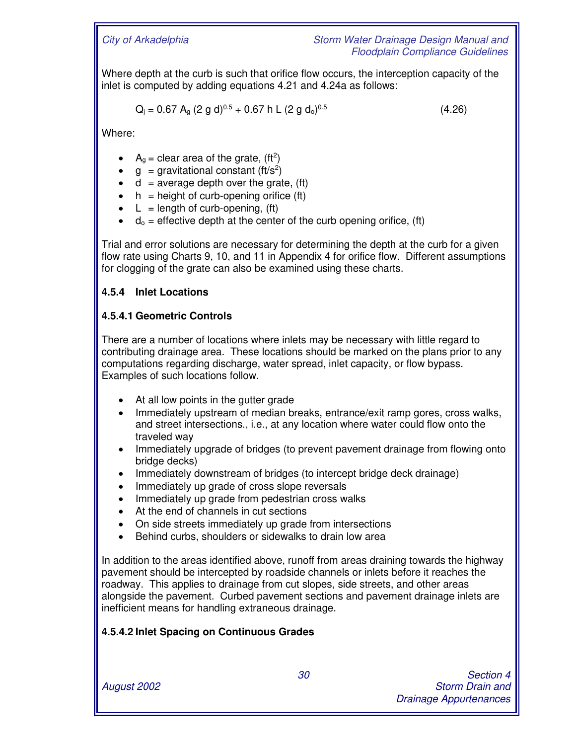Where depth at the curb is such that orifice flow occurs, the interception capacity of the inlet is computed by adding equations 4.21 and 4.24a as follows:

$$
Q_j = 0.67 A_g (2 g d)^{0.5} + 0.67 h L (2 g d_o)^{0.5}
$$
 (4.26)

Where:

- $A<sub>g</sub>$  = clear area of the grate, (ft<sup>2</sup>)
- $g =$  gravitational constant (ft/s<sup>2</sup>)
- $\bullet$  d = average depth over the grate, (ft)
- $h =$  height of curb-opening orifice (ft)
- $L = lenath of curb-opening, (ft)$
- $\bullet$  d<sub>o</sub> = effective depth at the center of the curb opening orifice, (ft)

Trial and error solutions are necessary for determining the depth at the curb for a given flow rate using Charts 9, 10, and 11 in Appendix 4 for orifice flow. Different assumptions for clogging of the grate can also be examined using these charts.

# **4.5.4 Inlet Locations**

# **4.5.4.1 Geometric Controls**

There are a number of locations where inlets may be necessary with little regard to contributing drainage area. These locations should be marked on the plans prior to any computations regarding discharge, water spread, inlet capacity, or flow bypass. Examples of such locations follow.

- At all low points in the gutter grade
- Immediately upstream of median breaks, entrance/exit ramp gores, cross walks, and street intersections., i.e., at any location where water could flow onto the traveled way
- Immediately upgrade of bridges (to prevent pavement drainage from flowing onto bridge decks)
- Immediately downstream of bridges (to intercept bridge deck drainage)
- Immediately up grade of cross slope reversals
- Immediately up grade from pedestrian cross walks
- At the end of channels in cut sections
- On side streets immediately up grade from intersections
- Behind curbs, shoulders or sidewalks to drain low area

In addition to the areas identified above, runoff from areas draining towards the highway pavement should be intercepted by roadside channels or inlets before it reaches the roadway. This applies to drainage from cut slopes, side streets, and other areas alongside the pavement. Curbed pavement sections and pavement drainage inlets are inefficient means for handling extraneous drainage.

# **4.5.4.2 Inlet Spacing on Continuous Grades**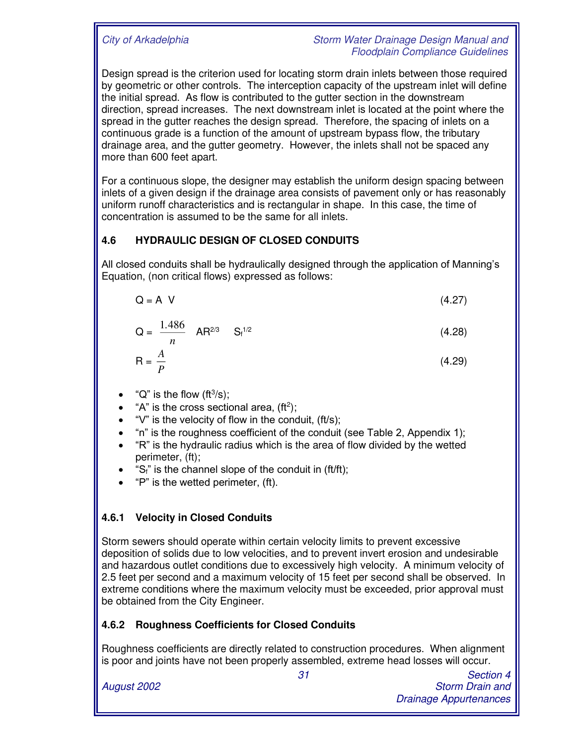Design spread is the criterion used for locating storm drain inlets between those required by geometric or other controls. The interception capacity of the upstream inlet will define the initial spread. As flow is contributed to the gutter section in the downstream direction, spread increases. The next downstream inlet is located at the point where the spread in the gutter reaches the design spread. Therefore, the spacing of inlets on a continuous grade is a function of the amount of upstream bypass flow, the tributary drainage area, and the gutter geometry. However, the inlets shall not be spaced any more than 600 feet apart.

For a continuous slope, the designer may establish the uniform design spacing between inlets of a given design if the drainage area consists of pavement only or has reasonably uniform runoff characteristics and is rectangular in shape. In this case, the time of concentration is assumed to be the same for all inlets.

# **4.6 HYDRAULIC DESIGN OF CLOSED CONDUITS**

All closed conduits shall be hydraulically designed through the application of Manning's Equation, (non critical flows) expressed as follows:

$$
Q = A \quad V \tag{4.27}
$$

$$
Q = \frac{1.486}{n} AR^{2/3} Sf1/2
$$
 (4.28)

$$
R = \frac{A}{P}
$$
 (4.29)

- "Q" is the flow (ft<sup>3</sup>/s);
- "A" is the cross sectional area, (ft<sup>2</sup>);
- $\bullet$  "V" is the velocity of flow in the conduit, (ft/s);
- "n" is the roughness coefficient of the conduit (see Table 2, Appendix 1);
- "R" is the hydraulic radius which is the area of flow divided by the wetted perimeter, (ft);
- "S<sub>f</sub>" is the channel slope of the conduit in  $(ft/ft)$ ;
- "P" is the wetted perimeter, (ft).

# **4.6.1 Velocity in Closed Conduits**

Storm sewers should operate within certain velocity limits to prevent excessive deposition of solids due to low velocities, and to prevent invert erosion and undesirable and hazardous outlet conditions due to excessively high velocity. A minimum velocity of 2.5 feet per second and a maximum velocity of 15 feet per second shall be observed. In extreme conditions where the maximum velocity must be exceeded, prior approval must be obtained from the City Engineer.

# **4.6.2 Roughness Coefficients for Closed Conduits**

Roughness coefficients are directly related to construction procedures. When alignment is poor and joints have not been properly assembled, extreme head losses will occur.

31 Section 4 August 2002 **Storm Drain and Storm Drain and Storm Drain and Storm Drain and Storm Drain and Storm Storm Drain and Storm Drain and Storm Drain and Storm Drain and Storm Drain and Storm Drain and Storm Drain and Storm Drain** Drainage Appurtenances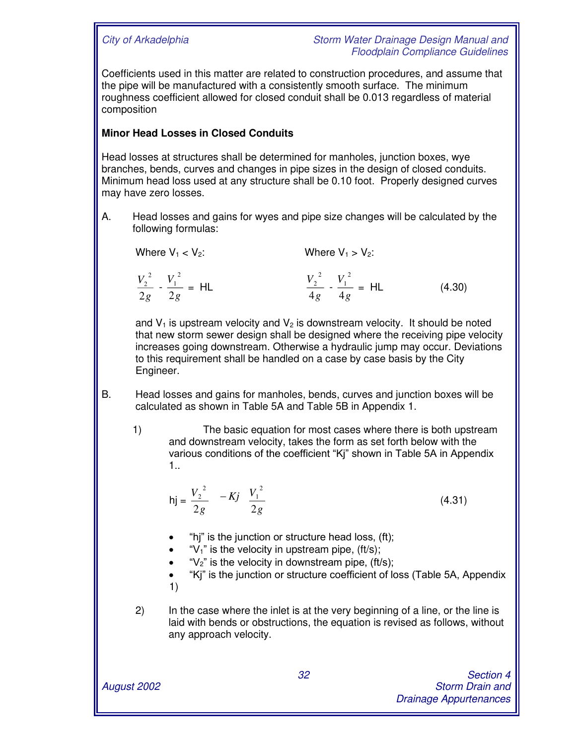Coefficients used in this matter are related to construction procedures, and assume that the pipe will be manufactured with a consistently smooth surface. The minimum roughness coefficient allowed for closed conduit shall be 0.013 regardless of material composition

#### **Minor Head Losses in Closed Conduits**

Head losses at structures shall be determined for manholes, junction boxes, wye branches, bends, curves and changes in pipe sizes in the design of closed conduits. Minimum head loss used at any structure shall be 0.10 foot. Properly designed curves may have zero losses.

A. Head losses and gains for wyes and pipe size changes will be calculated by the following formulas:

Where  $V_1 < V_2$ : Where  $V_1 > V_2$ : *g V* 2 2  $\frac{2}{2}$  *g V* 2 2  $\frac{1}{2}$  = HL *g V* 4 2  $\frac{2}{2}$  *g V* 4 2  $\frac{1}{1}$  = HL (4.30)

and  $V_1$  is upstream velocity and  $V_2$  is downstream velocity. It should be noted that new storm sewer design shall be designed where the receiving pipe velocity increases going downstream. Otherwise a hydraulic jump may occur. Deviations to this requirement shall be handled on a case by case basis by the City Engineer.

- B. Head losses and gains for manholes, bends, curves and junction boxes will be calculated as shown in Table 5A and Table 5B in Appendix 1.
	- 1) The basic equation for most cases where there is both upstream and downstream velocity, takes the form as set forth below with the various conditions of the coefficient "Kj" shown in Table 5A in Appendix 1..

$$
hj = \frac{V_2^2}{2g} - Kj \frac{V_1^2}{2g}
$$
 (4.31)

- "hj" is the junction or structure head loss,  $(ft)$ ;
- " $V_1$ " is the velocity in upstream pipe, (ft/s);
- " $V_2$ " is the velocity in downstream pipe, (ft/s);
- "Kj" is the junction or structure coefficient of loss (Table 5A, Appendix 1)
- 2) In the case where the inlet is at the very beginning of a line, or the line is laid with bends or obstructions, the equation is revised as follows, without any approach velocity.

32 Section 4 August 2002 **Storm Drain and Storm Drain and Storm Drain and Storm Drain and Storm Drain and Storm Storm Drain and** Drainage Appurtenances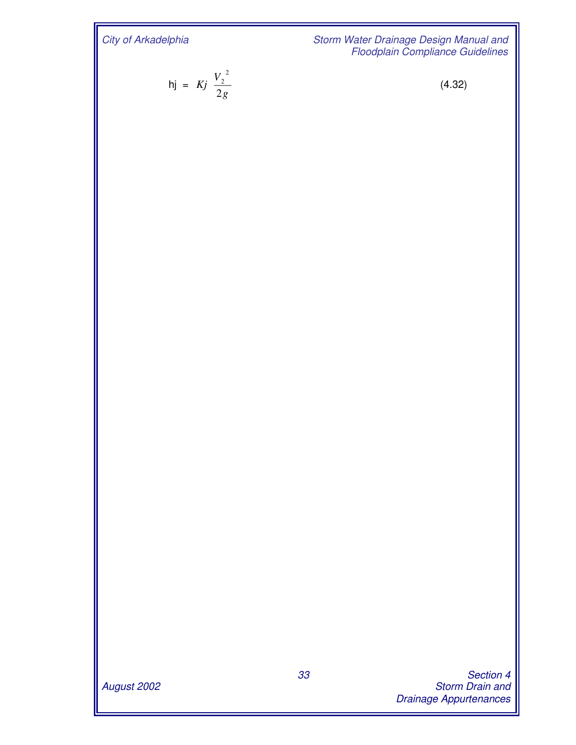$$
hj = Kj \frac{V_2^2}{2g}
$$

(4.32)

33 Section 4 August 2002 **Storm Drain and Storm Drain and Storm Drain** Drainage Appurtenances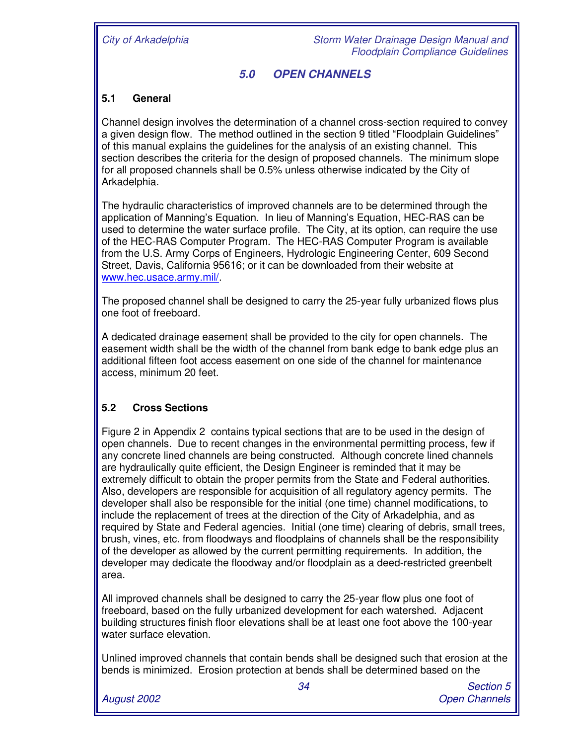# **5.0 OPEN CHANNELS**

#### **5.1 General**

Channel design involves the determination of a channel cross-section required to convey a given design flow. The method outlined in the section 9 titled "Floodplain Guidelines" of this manual explains the guidelines for the analysis of an existing channel. This section describes the criteria for the design of proposed channels. The minimum slope for all proposed channels shall be 0.5% unless otherwise indicated by the City of Arkadelphia.

The hydraulic characteristics of improved channels are to be determined through the application of Manning's Equation. In lieu of Manning's Equation, HEC-RAS can be used to determine the water surface profile. The City, at its option, can require the use of the HEC-RAS Computer Program. The HEC-RAS Computer Program is available from the U.S. Army Corps of Engineers, Hydrologic Engineering Center, 609 Second Street, Davis, California 95616; or it can be downloaded from their website at [www.hec.usace.army.mil/.](http://www.hec.usace.army.mil/)

The proposed channel shall be designed to carry the 25-year fully urbanized flows plus one foot of freeboard.

A dedicated drainage easement shall be provided to the city for open channels. The easement width shall be the width of the channel from bank edge to bank edge plus an additional fifteen foot access easement on one side of the channel for maintenance access, minimum 20 feet.

#### **5.2 Cross Sections**

Figure 2 in Appendix 2 contains typical sections that are to be used in the design of open channels. Due to recent changes in the environmental permitting process, few if any concrete lined channels are being constructed. Although concrete lined channels are hydraulically quite efficient, the Design Engineer is reminded that it may be extremely difficult to obtain the proper permits from the State and Federal authorities. Also, developers are responsible for acquisition of all regulatory agency permits. The developer shall also be responsible for the initial (one time) channel modifications, to include the replacement of trees at the direction of the City of Arkadelphia, and as required by State and Federal agencies. Initial (one time) clearing of debris, small trees, brush, vines, etc. from floodways and floodplains of channels shall be the responsibility of the developer as allowed by the current permitting requirements. In addition, the developer may dedicate the floodway and/or floodplain as a deed-restricted greenbelt area.

All improved channels shall be designed to carry the 25-year flow plus one foot of freeboard, based on the fully urbanized development for each watershed. Adjacent building structures finish floor elevations shall be at least one foot above the 100-year water surface elevation.

Unlined improved channels that contain bends shall be designed such that erosion at the bends is minimized. Erosion protection at bends shall be determined based on the

34 Section 5 August 2002 Open Channels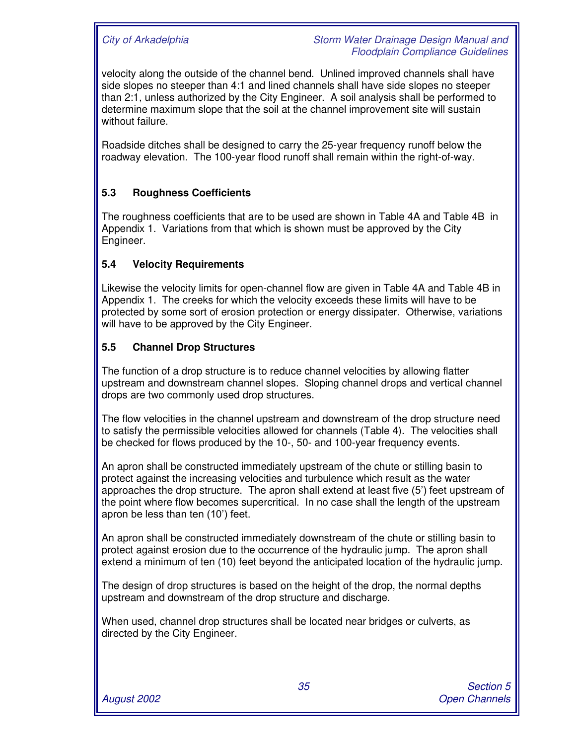velocity along the outside of the channel bend. Unlined improved channels shall have side slopes no steeper than 4:1 and lined channels shall have side slopes no steeper than 2:1, unless authorized by the City Engineer. A soil analysis shall be performed to determine maximum slope that the soil at the channel improvement site will sustain without failure.

Roadside ditches shall be designed to carry the 25-year frequency runoff below the roadway elevation. The 100-year flood runoff shall remain within the right-of-way.

# **5.3 Roughness Coefficients**

The roughness coefficients that are to be used are shown in Table 4A and Table 4B in Appendix 1. Variations from that which is shown must be approved by the City Engineer.

#### **5.4 Velocity Requirements**

Likewise the velocity limits for open-channel flow are given in Table 4A and Table 4B in Appendix 1. The creeks for which the velocity exceeds these limits will have to be protected by some sort of erosion protection or energy dissipater. Otherwise, variations will have to be approved by the City Engineer.

#### **5.5 Channel Drop Structures**

The function of a drop structure is to reduce channel velocities by allowing flatter upstream and downstream channel slopes. Sloping channel drops and vertical channel drops are two commonly used drop structures.

The flow velocities in the channel upstream and downstream of the drop structure need to satisfy the permissible velocities allowed for channels (Table 4). The velocities shall be checked for flows produced by the 10-, 50- and 100-year frequency events.

An apron shall be constructed immediately upstream of the chute or stilling basin to protect against the increasing velocities and turbulence which result as the water approaches the drop structure. The apron shall extend at least five (5') feet upstream of the point where flow becomes supercritical. In no case shall the length of the upstream apron be less than ten (10') feet.

An apron shall be constructed immediately downstream of the chute or stilling basin to protect against erosion due to the occurrence of the hydraulic jump. The apron shall extend a minimum of ten (10) feet beyond the anticipated location of the hydraulic jump.

The design of drop structures is based on the height of the drop, the normal depths upstream and downstream of the drop structure and discharge.

When used, channel drop structures shall be located near bridges or culverts, as directed by the City Engineer.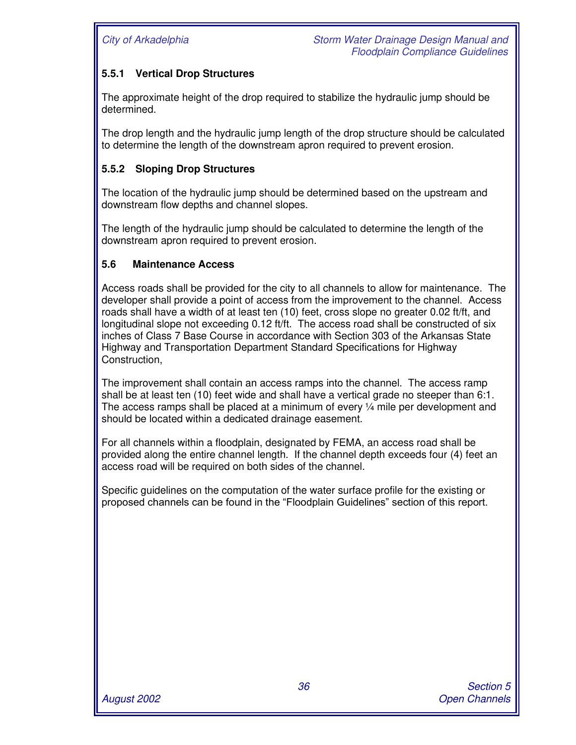# **5.5.1 Vertical Drop Structures**

The approximate height of the drop required to stabilize the hydraulic jump should be determined.

The drop length and the hydraulic jump length of the drop structure should be calculated to determine the length of the downstream apron required to prevent erosion.

# **5.5.2 Sloping Drop Structures**

The location of the hydraulic jump should be determined based on the upstream and downstream flow depths and channel slopes.

The length of the hydraulic jump should be calculated to determine the length of the downstream apron required to prevent erosion.

# **5.6 Maintenance Access**

Access roads shall be provided for the city to all channels to allow for maintenance. The developer shall provide a point of access from the improvement to the channel. Access roads shall have a width of at least ten (10) feet, cross slope no greater 0.02 ft/ft, and longitudinal slope not exceeding 0.12 ft/ft. The access road shall be constructed of six inches of Class 7 Base Course in accordance with Section 303 of the Arkansas State Highway and Transportation Department Standard Specifications for Highway Construction,

The improvement shall contain an access ramps into the channel. The access ramp shall be at least ten (10) feet wide and shall have a vertical grade no steeper than 6:1. The access ramps shall be placed at a minimum of every  $\frac{1}{4}$  mile per development and should be located within a dedicated drainage easement.

For all channels within a floodplain, designated by FEMA, an access road shall be provided along the entire channel length. If the channel depth exceeds four (4) feet an access road will be required on both sides of the channel.

Specific guidelines on the computation of the water surface profile for the existing or proposed channels can be found in the "Floodplain Guidelines" section of this report.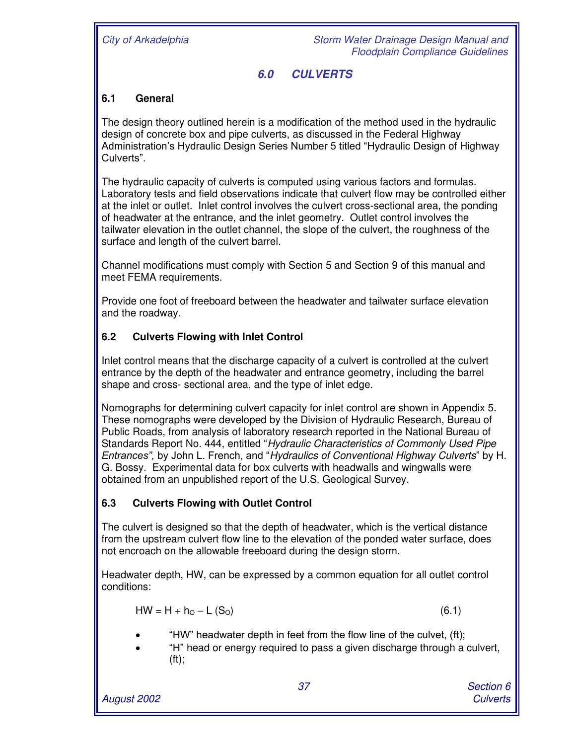# **6.0 CULVERTS**

# **6.1 General**

The design theory outlined herein is a modification of the method used in the hydraulic design of concrete box and pipe culverts, as discussed in the Federal Highway Administration's Hydraulic Design Series Number 5 titled "Hydraulic Design of Highway Culverts".

The hydraulic capacity of culverts is computed using various factors and formulas. Laboratory tests and field observations indicate that culvert flow may be controlled either at the inlet or outlet. Inlet control involves the culvert cross-sectional area, the ponding of headwater at the entrance, and the inlet geometry. Outlet control involves the tailwater elevation in the outlet channel, the slope of the culvert, the roughness of the surface and length of the culvert barrel.

Channel modifications must comply with Section 5 and Section 9 of this manual and meet FEMA requirements.

Provide one foot of freeboard between the headwater and tailwater surface elevation and the roadway.

# **6.2 Culverts Flowing with Inlet Control**

Inlet control means that the discharge capacity of a culvert is controlled at the culvert entrance by the depth of the headwater and entrance geometry, including the barrel shape and cross- sectional area, and the type of inlet edge.

Nomographs for determining culvert capacity for inlet control are shown in Appendix 5. These nomographs were developed by the Division of Hydraulic Research, Bureau of Public Roads, from analysis of laboratory research reported in the National Bureau of Standards Report No. 444, entitled "Hydraulic Characteristics of Commonly Used Pipe *Entrances",* by John L. French, and "Hydraulics of Conventional Highway Culverts" by H. G. Bossy. Experimental data for box culverts with headwalls and wingwalls were obtained from an unpublished report of the U.S. Geological Survey.

# **6.3 Culverts Flowing with Outlet Control**

The culvert is designed so that the depth of headwater, which is the vertical distance from the upstream culvert flow line to the elevation of the ponded water surface, does not encroach on the allowable freeboard during the design storm.

Headwater depth, HW, can be expressed by a common equation for all outlet control conditions:

$$
HW = H + h_O - L (S_O)
$$
 (6.1)

- "HW" headwater depth in feet from the flow line of the culvet, (ft);
	- "H" head or energy required to pass a given discharge through a culvert,  $(ft)$ ;

August 2002 Culverts

37 Section 6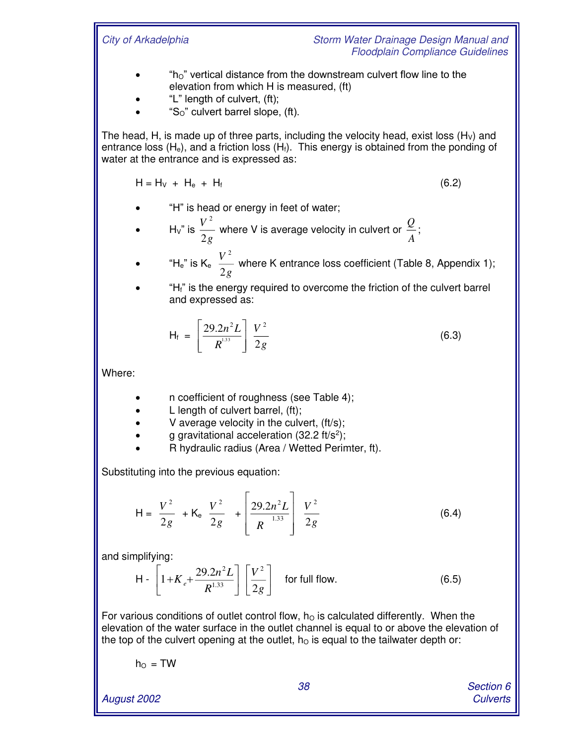- "h<sub>o</sub>" vertical distance from the downstream culvert flow line to the elevation from which H is measured, (ft)
- "L" length of culvert, (ft);
- "S<sub>o</sub>" culvert barrel slope, (ft).

The head, H, is made up of three parts, including the velocity head, exist loss  $(H<sub>V</sub>)$  and entrance loss  $(H_e)$ , and a friction loss  $(H_f)$ . This energy is obtained from the ponding of water at the entrance and is expressed as:

$$
H = H_V + H_e + H_f \tag{6.2}
$$

- "H" is head or energy in feet of water;
- $H_V"$  is *g V* 2 2 where V is average velocity in culvert or  $\frac{z}{A}$ *Q* ;
- $H_e$ " is  $K_e$ *g V* 2 2 where K entrance loss coefficient (Table 8, Appendix 1);
- "H<sub>f</sub>" is the energy required to overcome the friction of the culvert barrel and expressed as:

$$
H_{f} = \left[\frac{29.2n^{2}L}{R^{1.33}}\right] \frac{V^{2}}{2g}
$$
 (6.3)

Where:

- n coefficient of roughness (see Table 4);
- $L$  length of culvert barrel, (ft);
- V average velocity in the culvert,  $(ft/s)$ ;
- g gravitational acceleration  $(32.2 \text{ ft/s}^2);$
- R hydraulic radius (Area / Wetted Perimter, ft).

Substituting into the previous equation:

$$
H = \frac{V^2}{2g} + K_e \frac{V^2}{2g} + \left[ \frac{29.2n^2L}{R^{1.33}} \right] \frac{V^2}{2g}
$$
 (6.4)

and simplifying:

H -  $|1+K_e+\frac{25.2\pi E}{R^{1.33}}|$  $\overline{a}$ 1  $\mathsf{I}$ L Γ  $+K_e+\frac{}{\bf \overline{D}}^{1.33}$  $1 + K + \frac{29.2n^2}{\cdots}$ *R*  $K_e + \frac{29.2n^2L}{R_{\text{max}}^{1.33}} \left| \frac{V^2}{2\pi} \right|$ 」 1  $\mathsf{L}$ L Γ *g V* 2 2 for full flow. (6.5)

For various conditions of outlet control flow,  $h<sub>O</sub>$  is calculated differently. When the elevation of the water surface in the outlet channel is equal to or above the elevation of the top of the culvert opening at the outlet,  $h<sub>o</sub>$  is equal to the tailwater depth or:

$$
h_{\rm O} = TW
$$

August 2002 **Culverts** 

38 Section 6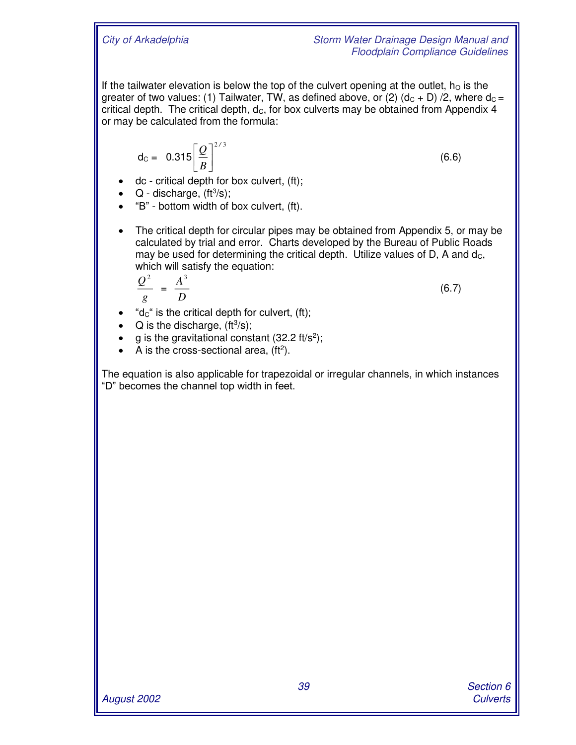If the tailwater elevation is below the top of the culvert opening at the outlet,  $h<sub>o</sub>$  is the greater of two values: (1) Tailwater, TW, as defined above, or (2)  $(d_C + D)/2$ , where  $d_C =$ critical depth. The critical depth,  $d<sub>c</sub>$ , for box culverts may be obtained from Appendix 4 or may be calculated from the formula:

$$
d_C = 0.315 \left[ \frac{Q}{B} \right]^{2/3}
$$

- dc critical depth for box culvert, (ft);
- $Q$  discharge,  $(ft^3/s)$ ;
- "B" bottom width of box culvert, (ft).
- The critical depth for circular pipes may be obtained from Appendix 5, or may be calculated by trial and error. Charts developed by the Bureau of Public Roads may be used for determining the critical depth. Utilize values of D, A and  $d<sub>C</sub>$ , which will satisfy the equation:

$$
\frac{Q^2}{g} = \frac{A^3}{D} \tag{6.7}
$$

- $\bullet$  "d<sub>c</sub>" is the critical depth for culvert, (ft);
- Q is the discharge,  $(\text{ft}^3/\text{s})$ ;
- g is the gravitational constant  $(32.2 \text{ ft/s}^2);$
- A is the cross-sectional area,  $(\text{ft}^2)$ .

The equation is also applicable for trapezoidal or irregular channels, in which instances "D" becomes the channel top width in feet.

 $(6.6)$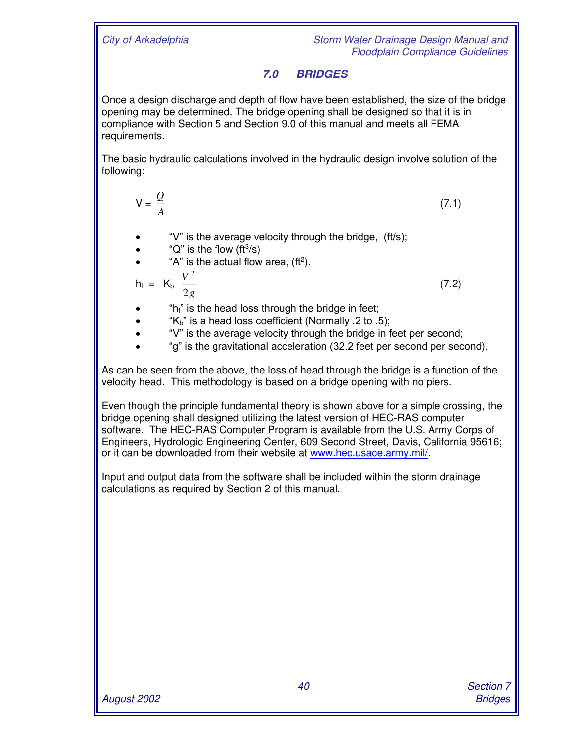# **7.0 BRIDGES**

Once a design discharge and depth of flow have been established, the size of the bridge opening may be determined. The bridge opening shall be designed so that it is in compliance with Section 5 and Section 9.0 of this manual and meets all FEMA requirements.

The basic hydraulic calculations involved in the hydraulic design involve solution of the following:

$$
V = \frac{Q}{A} \tag{7.1}
$$

- "V" is the average velocity through the bridge, (ft/s);
- $\bullet$  "Q" is the flow (ft<sup>3</sup>/s)
- $A''$  is the actual flow area, (ft<sup>2</sup>).

$$
h_f = K_b \frac{V^2}{2g} \tag{7.2}
$$

- " $h_f$ " is the head loss through the bridge in feet;
	- " $K_b$ " is a head loss coefficient (Normally .2 to .5);
- "V" is the average velocity through the bridge in feet per second;
- "g" is the gravitational acceleration (32.2 feet per second per second).

As can be seen from the above, the loss of head through the bridge is a function of the velocity head. This methodology is based on a bridge opening with no piers.

Even though the principle fundamental theory is shown above for a simple crossing, the bridge opening shall designed utilizing the latest version of HEC-RAS computer software. The HEC-RAS Computer Program is available from the U.S. Army Corps of Engineers, Hydrologic Engineering Center, 609 Second Street, Davis, California 95616; or it can be downloaded from their website at [www.hec.usace.army.mil/.](http://www.hec.usace.army.mil/)

Input and output data from the software shall be included within the storm drainage calculations as required by Section 2 of this manual.

August 2002 Bridges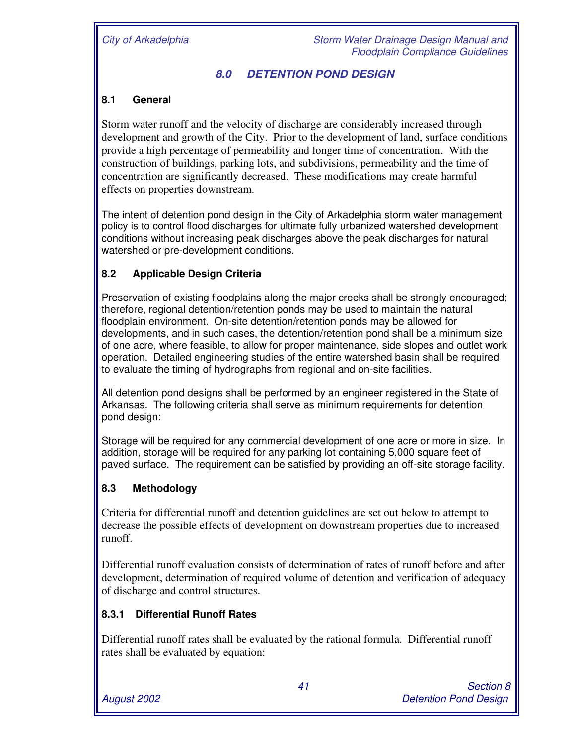# **8.0 DETENTION POND DESIGN**

#### **8.1 General**

Storm water runoff and the velocity of discharge are considerably increased through development and growth of the City. Prior to the development of land, surface conditions provide a high percentage of permeability and longer time of concentration. With the construction of buildings, parking lots, and subdivisions, permeability and the time of concentration are significantly decreased. These modifications may create harmful effects on properties downstream.

The intent of detention pond design in the City of Arkadelphia storm water management policy is to control flood discharges for ultimate fully urbanized watershed development conditions without increasing peak discharges above the peak discharges for natural watershed or pre-development conditions.

# **8.2 Applicable Design Criteria**

Preservation of existing floodplains along the major creeks shall be strongly encouraged; therefore, regional detention/retention ponds may be used to maintain the natural floodplain environment. On-site detention/retention ponds may be allowed for developments, and in such cases, the detention/retention pond shall be a minimum size of one acre, where feasible, to allow for proper maintenance, side slopes and outlet work operation. Detailed engineering studies of the entire watershed basin shall be required to evaluate the timing of hydrographs from regional and on-site facilities.

All detention pond designs shall be performed by an engineer registered in the State of Arkansas. The following criteria shall serve as minimum requirements for detention pond design:

Storage will be required for any commercial development of one acre or more in size. In addition, storage will be required for any parking lot containing 5,000 square feet of paved surface. The requirement can be satisfied by providing an off-site storage facility.

# **8.3 Methodology**

Criteria for differential runoff and detention guidelines are set out below to attempt to decrease the possible effects of development on downstream properties due to increased runoff.

Differential runoff evaluation consists of determination of rates of runoff before and after development, determination of required volume of detention and verification of adequacy of discharge and control structures.

# **8.3.1 Differential Runoff Rates**

Differential runoff rates shall be evaluated by the rational formula. Differential runoff rates shall be evaluated by equation: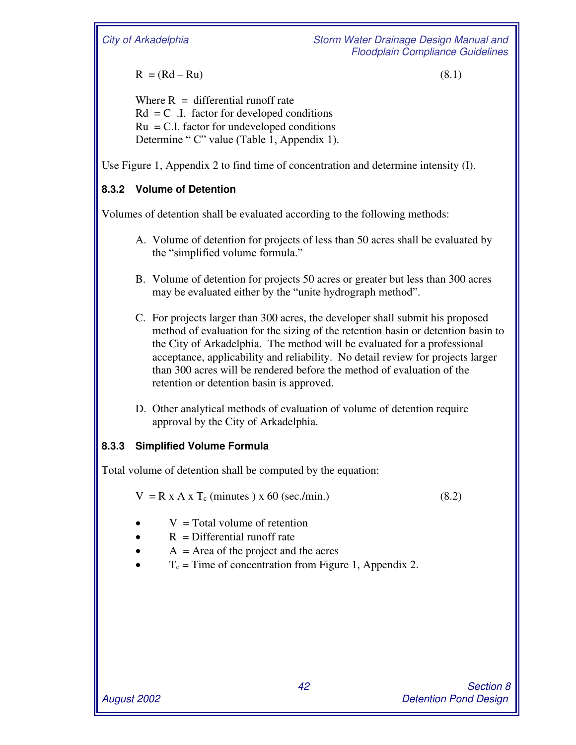$R = (Rd - Ru)$  (8.1)

Where  $R =$  differential runoff rate  $Rd = C$  . I. factor for developed conditions  $Ru = C.I.$  factor for undeveloped conditions Determine "C" value (Table 1, Appendix 1).

Use Figure 1, Appendix 2 to find time of concentration and determine intensity (I).

# **8.3.2 Volume of Detention**

Volumes of detention shall be evaluated according to the following methods:

- A. Volume of detention for projects of less than 50 acres shall be evaluated by the "simplified volume formula."
- B. Volume of detention for projects 50 acres or greater but less than 300 acres may be evaluated either by the "unite hydrograph method".
- C. For projects larger than 300 acres, the developer shall submit his proposed method of evaluation for the sizing of the retention basin or detention basin to the City of Arkadelphia. The method will be evaluated for a professional acceptance, applicability and reliability. No detail review for projects larger than 300 acres will be rendered before the method of evaluation of the retention or detention basin is approved.
- D. Other analytical methods of evaluation of volume of detention require approval by the City of Arkadelphia.

# **8.3.3 Simplified Volume Formula**

Total volume of detention shall be computed by the equation:

$$
V = R \times A \times T_c \text{ (minutes) } \times 60 \text{ (sec./min.)}
$$
 (8.2)

- $V = Total volume of.$
- $R =$ Differential runoff rate
- $A = Area of the project and the acres$
- $T_c$  = Time of concentration from Figure 1, Appendix 2.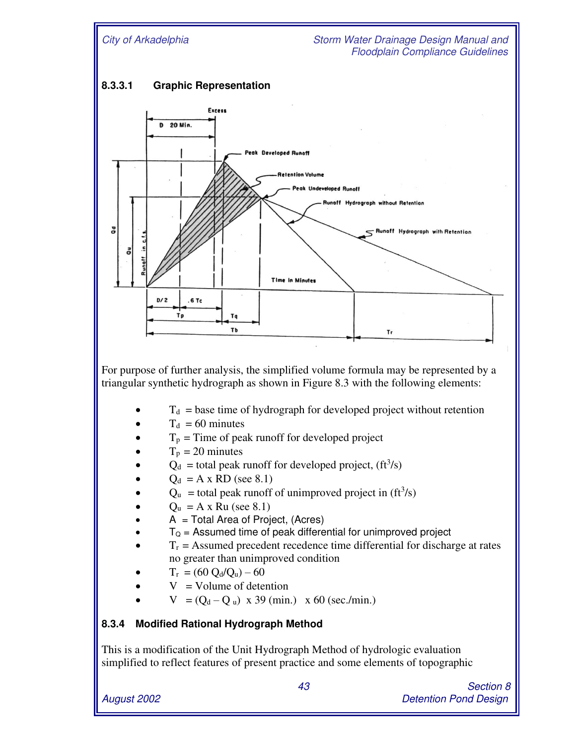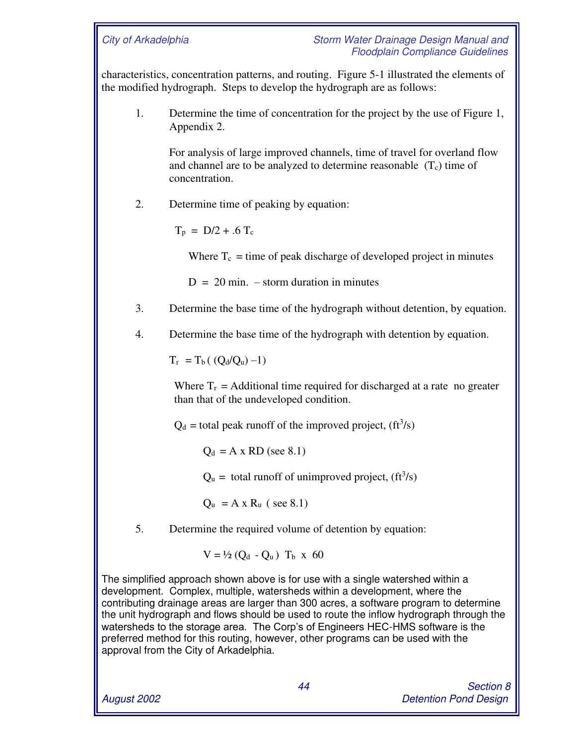characteristics, concentration patterns, and routing. Figure 5-1 illustrated the elements of the modified hydrograph. Steps to develop the hydrograph are as follows:

1. Determine the time of concentration for the project by the use of Figure 1, Appendix 2.

For analysis of large improved channels, time of travel for overland flow and channel are to be analyzed to determine reasonable  $(T_c)$  time of concentration.

2. Determine time of peaking by equation:

 $T_p = D/2 + .6 T_c$ 

Where  $T_c$  = time of peak discharge of developed project in minutes

 $D = 20$  min. – storm duration in minutes

- 3. Determine the base time of the hydrograph without detention, by equation.
- 4. Determine the base time of the hydrograph with detention by equation.

 $T_r = T_b ( (Q_d/Q_u) -1)$ 

Where  $T_r$  = Additional time required for discharged at a rate no greater than that of the undeveloped condition.

 $Q_d$  = total peak runoff of the improved project, (ft<sup>3</sup>/s)

 $Q_d = A \times RD$  (see 8.1)

 $Q_u$  = total runoff of unimproved project, (ft<sup>3</sup>/s)

 $Q_{u} = A \times R_{u}$  (see 8.1)

5. Determine the required volume of detention by equation:

$$
V = \frac{1}{2} \left( Q_d - Q_u \right) T_b x 60
$$

The simplified approach shown above is for use with a single watershed within a development. Complex, multiple, watersheds within a development, where the contributing drainage areas are larger than 300 acres, a software program to determine the unit hydrograph and flows should be used to route the inflow hydrograph through the watersheds to the storage area. The Corp's of Engineers HEC-HMS software is the preferred method for this routing, however, other programs can be used with the approval from the City of Arkadelphia.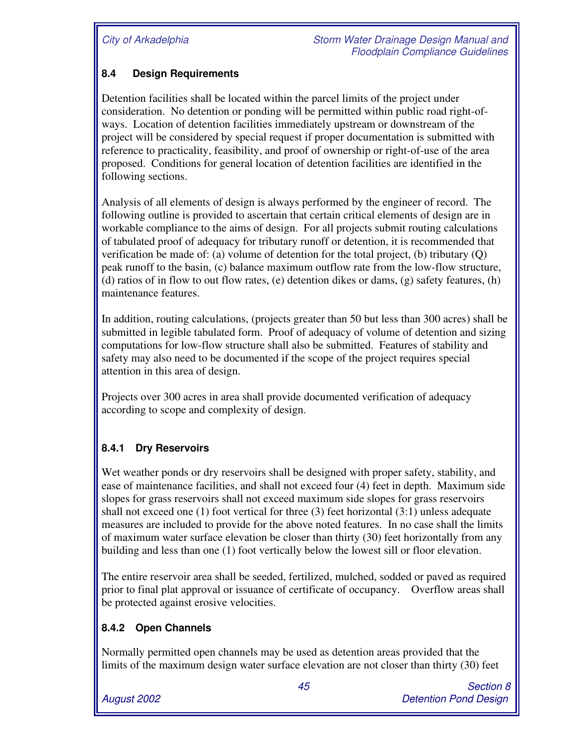# **8.4 Design Requirements**

Detention facilities shall be located within the parcel limits of the project under consideration. No detention or ponding will be permitted within public road right-ofways. Location of detention facilities immediately upstream or downstream of the project will be considered by special request if proper documentation is submitted with reference to practicality, feasibility, and proof of ownership or right-of-use of the area proposed. Conditions for general location of detention facilities are identified in the following sections.

Analysis of all elements of design is always performed by the engineer of record. The following outline is provided to ascertain that certain critical elements of design are in workable compliance to the aims of design. For all projects submit routing calculations of tabulated proof of adequacy for tributary runoff or detention, it is recommended that verification be made of: (a) volume of detention for the total project, (b) tributary (Q) peak runoff to the basin, (c) balance maximum outflow rate from the low-flow structure, (d) ratios of in flow to out flow rates, (e) detention dikes or dams, (g) safety features, (h) maintenance features.

In addition, routing calculations, (projects greater than 50 but less than 300 acres) shall be submitted in legible tabulated form. Proof of adequacy of volume of detention and sizing computations for low-flow structure shall also be submitted. Features of stability and safety may also need to be documented if the scope of the project requires special attention in this area of design.

Projects over 300 acres in area shall provide documented verification of adequacy according to scope and complexity of design.

# **8.4.1 Dry Reservoirs**

Wet weather ponds or dry reservoirs shall be designed with proper safety, stability, and ease of maintenance facilities, and shall not exceed four (4) feet in depth. Maximum side slopes for grass reservoirs shall not exceed maximum side slopes for grass reservoirs shall not exceed one (1) foot vertical for three (3) feet horizontal (3:1) unless adequate measures are included to provide for the above noted features. In no case shall the limits of maximum water surface elevation be closer than thirty (30) feet horizontally from any building and less than one (1) foot vertically below the lowest sill or floor elevation.

The entire reservoir area shall be seeded, fertilized, mulched, sodded or paved as required prior to final plat approval or issuance of certificate of occupancy. Overflow areas shall be protected against erosive velocities.

# **8.4.2 Open Channels**

Normally permitted open channels may be used as detention areas provided that the limits of the maximum design water surface elevation are not closer than thirty (30) feet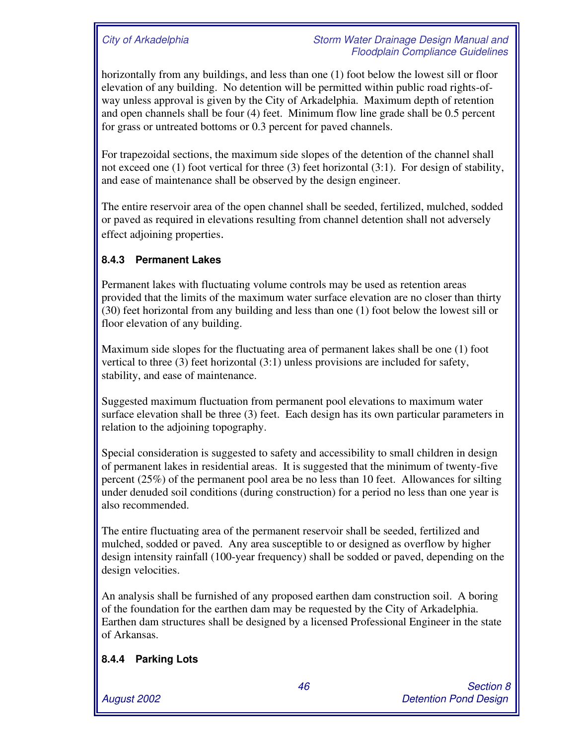horizontally from any buildings, and less than one (1) foot below the lowest sill or floor elevation of any building. No detention will be permitted within public road rights-ofway unless approval is given by the City of Arkadelphia. Maximum depth of retention and open channels shall be four (4) feet. Minimum flow line grade shall be 0.5 percent for grass or untreated bottoms or 0.3 percent for paved channels.

For trapezoidal sections, the maximum side slopes of the detention of the channel shall not exceed one (1) foot vertical for three (3) feet horizontal (3:1). For design of stability, and ease of maintenance shall be observed by the design engineer.

The entire reservoir area of the open channel shall be seeded, fertilized, mulched, sodded or paved as required in elevations resulting from channel detention shall not adversely effect adjoining properties.

# **8.4.3 Permanent Lakes**

Permanent lakes with fluctuating volume controls may be used as retention areas provided that the limits of the maximum water surface elevation are no closer than thirty (30) feet horizontal from any building and less than one (1) foot below the lowest sill or floor elevation of any building.

Maximum side slopes for the fluctuating area of permanent lakes shall be one (1) foot vertical to three (3) feet horizontal (3:1) unless provisions are included for safety, stability, and ease of maintenance.

Suggested maximum fluctuation from permanent pool elevations to maximum water surface elevation shall be three (3) feet. Each design has its own particular parameters in relation to the adjoining topography.

Special consideration is suggested to safety and accessibility to small children in design of permanent lakes in residential areas. It is suggested that the minimum of twenty-five percent (25%) of the permanent pool area be no less than 10 feet. Allowances for silting under denuded soil conditions (during construction) for a period no less than one year is also recommended.

The entire fluctuating area of the permanent reservoir shall be seeded, fertilized and mulched, sodded or paved. Any area susceptible to or designed as overflow by higher design intensity rainfall (100-year frequency) shall be sodded or paved, depending on the design velocities.

An analysis shall be furnished of any proposed earthen dam construction soil. A boring of the foundation for the earthen dam may be requested by the City of Arkadelphia. Earthen dam structures shall be designed by a licensed Professional Engineer in the state of Arkansas.

# **8.4.4 Parking Lots**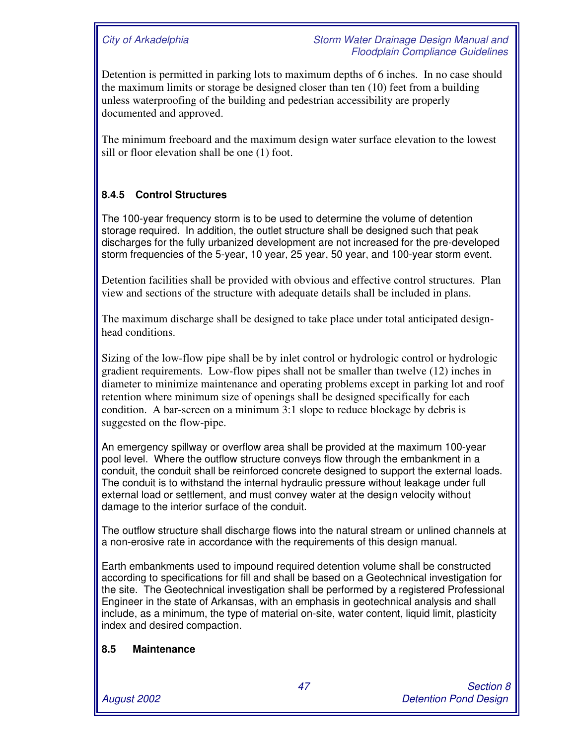Detention is permitted in parking lots to maximum depths of 6 inches. In no case should the maximum limits or storage be designed closer than ten (10) feet from a building unless waterproofing of the building and pedestrian accessibility are properly documented and approved.

The minimum freeboard and the maximum design water surface elevation to the lowest sill or floor elevation shall be one (1) foot.

# **8.4.5 Control Structures**

The 100-year frequency storm is to be used to determine the volume of detention storage required. In addition, the outlet structure shall be designed such that peak discharges for the fully urbanized development are not increased for the pre-developed storm frequencies of the 5-year, 10 year, 25 year, 50 year, and 100-year storm event.

Detention facilities shall be provided with obvious and effective control structures. Plan view and sections of the structure with adequate details shall be included in plans.

The maximum discharge shall be designed to take place under total anticipated designhead conditions.

Sizing of the low-flow pipe shall be by inlet control or hydrologic control or hydrologic gradient requirements. Low-flow pipes shall not be smaller than twelve (12) inches in diameter to minimize maintenance and operating problems except in parking lot and roof retention where minimum size of openings shall be designed specifically for each condition. A bar-screen on a minimum 3:1 slope to reduce blockage by debris is suggested on the flow-pipe.

An emergency spillway or overflow area shall be provided at the maximum 100-year pool level. Where the outflow structure conveys flow through the embankment in a conduit, the conduit shall be reinforced concrete designed to support the external loads. The conduit is to withstand the internal hydraulic pressure without leakage under full external load or settlement, and must convey water at the design velocity without damage to the interior surface of the conduit.

The outflow structure shall discharge flows into the natural stream or unlined channels at a non-erosive rate in accordance with the requirements of this design manual.

Earth embankments used to impound required detention volume shall be constructed according to specifications for fill and shall be based on a Geotechnical investigation for the site. The Geotechnical investigation shall be performed by a registered Professional Engineer in the state of Arkansas, with an emphasis in geotechnical analysis and shall include, as a minimum, the type of material on-site, water content, liquid limit, plasticity index and desired compaction.

#### **8.5 Maintenance**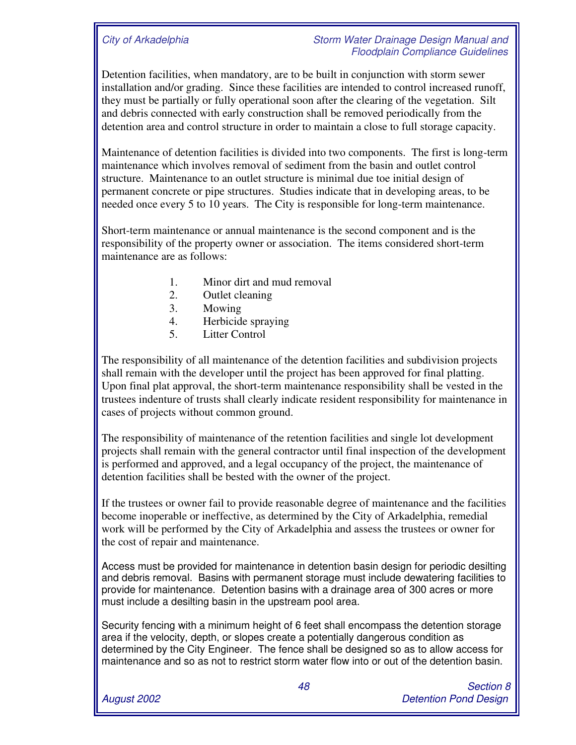Detention facilities, when mandatory, are to be built in conjunction with storm sewer installation and/or grading. Since these facilities are intended to control increased runoff, they must be partially or fully operational soon after the clearing of the vegetation. Silt and debris connected with early construction shall be removed periodically from the detention area and control structure in order to maintain a close to full storage capacity.

Maintenance of detention facilities is divided into two components. The first is long-term maintenance which involves removal of sediment from the basin and outlet control structure. Maintenance to an outlet structure is minimal due toe initial design of permanent concrete or pipe structures. Studies indicate that in developing areas, to be needed once every 5 to 10 years. The City is responsible for long-term maintenance.

Short-term maintenance or annual maintenance is the second component and is the responsibility of the property owner or association. The items considered short-term maintenance are as follows:

- 1. Minor dirt and mud removal
- 2. Outlet cleaning
- 3. Mowing
- 4. Herbicide spraying
- 5. Litter Control

The responsibility of all maintenance of the detention facilities and subdivision projects shall remain with the developer until the project has been approved for final platting. Upon final plat approval, the short-term maintenance responsibility shall be vested in the trustees indenture of trusts shall clearly indicate resident responsibility for maintenance in cases of projects without common ground.

The responsibility of maintenance of the retention facilities and single lot development projects shall remain with the general contractor until final inspection of the development is performed and approved, and a legal occupancy of the project, the maintenance of detention facilities shall be bested with the owner of the project.

If the trustees or owner fail to provide reasonable degree of maintenance and the facilities become inoperable or ineffective, as determined by the City of Arkadelphia, remedial work will be performed by the City of Arkadelphia and assess the trustees or owner for the cost of repair and maintenance.

Access must be provided for maintenance in detention basin design for periodic desilting and debris removal. Basins with permanent storage must include dewatering facilities to provide for maintenance. Detention basins with a drainage area of 300 acres or more must include a desilting basin in the upstream pool area.

Security fencing with a minimum height of 6 feet shall encompass the detention storage area if the velocity, depth, or slopes create a potentially dangerous condition as determined by the City Engineer. The fence shall be designed so as to allow access for maintenance and so as not to restrict storm water flow into or out of the detention basin.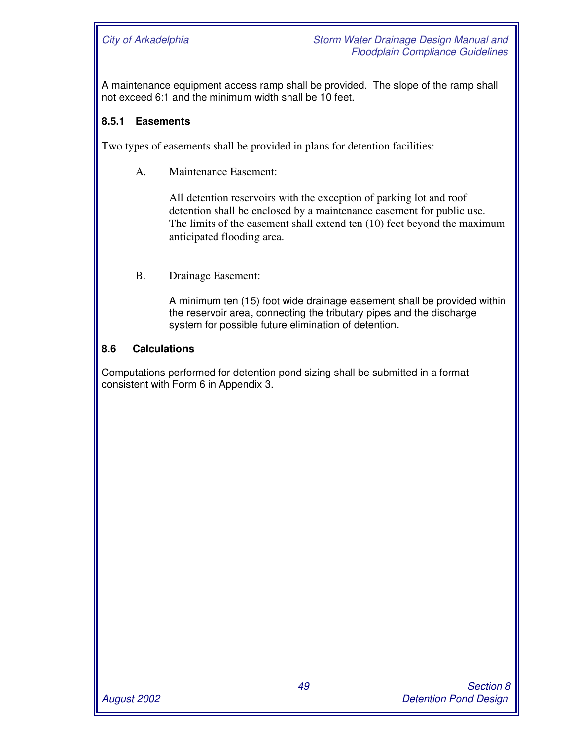A maintenance equipment access ramp shall be provided. The slope of the ramp shall not exceed 6:1 and the minimum width shall be 10 feet.

# **8.5.1 Easements**

Two types of easements shall be provided in plans for detention facilities:

A. Maintenance Easement:

All detention reservoirs with the exception of parking lot and roof detention shall be enclosed by a maintenance easement for public use. The limits of the easement shall extend ten (10) feet beyond the maximum anticipated flooding area.

# B. Drainage Easement:

A minimum ten (15) foot wide drainage easement shall be provided within the reservoir area, connecting the tributary pipes and the discharge system for possible future elimination of detention.

#### **8.6 Calculations**

Computations performed for detention pond sizing shall be submitted in a format consistent with Form 6 in Appendix 3.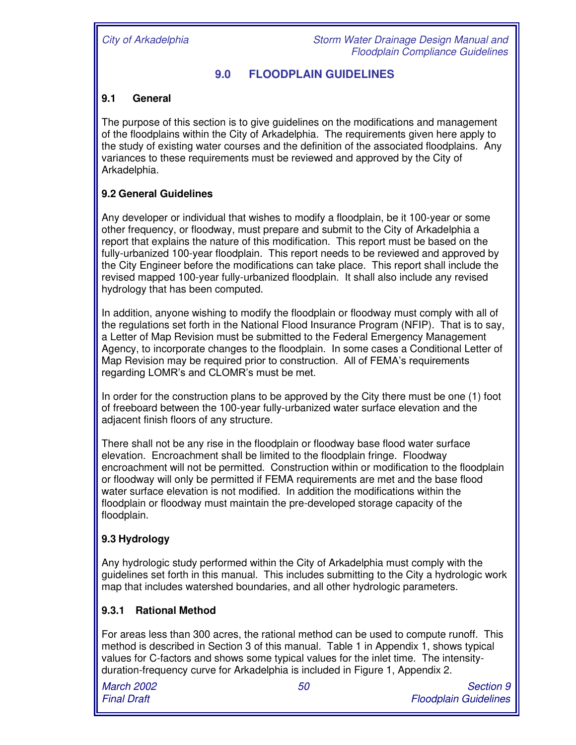# **9.0 FLOODPLAIN GUIDELINES**

#### **9.1 General**

The purpose of this section is to give guidelines on the modifications and management of the floodplains within the City of Arkadelphia. The requirements given here apply to the study of existing water courses and the definition of the associated floodplains. Any variances to these requirements must be reviewed and approved by the City of Arkadelphia.

# **9.2 General Guidelines**

Any developer or individual that wishes to modify a floodplain, be it 100-year or some other frequency, or floodway, must prepare and submit to the City of Arkadelphia a report that explains the nature of this modification. This report must be based on the fully-urbanized 100-year floodplain. This report needs to be reviewed and approved by the City Engineer before the modifications can take place. This report shall include the revised mapped 100-year fully-urbanized floodplain. It shall also include any revised hydrology that has been computed.

In addition, anyone wishing to modify the floodplain or floodway must comply with all of the regulations set forth in the National Flood Insurance Program (NFIP). That is to say, a Letter of Map Revision must be submitted to the Federal Emergency Management Agency, to incorporate changes to the floodplain. In some cases a Conditional Letter of Map Revision may be required prior to construction. All of FEMA's requirements regarding LOMR's and CLOMR's must be met.

In order for the construction plans to be approved by the City there must be one (1) foot of freeboard between the 100-year fully-urbanized water surface elevation and the adjacent finish floors of any structure.

There shall not be any rise in the floodplain or floodway base flood water surface elevation. Encroachment shall be limited to the floodplain fringe. Floodway encroachment will not be permitted. Construction within or modification to the floodplain or floodway will only be permitted if FEMA requirements are met and the base flood water surface elevation is not modified. In addition the modifications within the floodplain or floodway must maintain the pre-developed storage capacity of the floodplain.

# **9.3 Hydrology**

Any hydrologic study performed within the City of Arkadelphia must comply with the guidelines set forth in this manual. This includes submitting to the City a hydrologic work map that includes watershed boundaries, and all other hydrologic parameters.

# **9.3.1 Rational Method**

For areas less than 300 acres, the rational method can be used to compute runoff. This method is described in Section 3 of this manual. Table 1 in Appendix 1, shows typical values for C-factors and shows some typical values for the inlet time. The intensityduration-frequency curve for Arkadelphia is included in Figure 1, Appendix 2.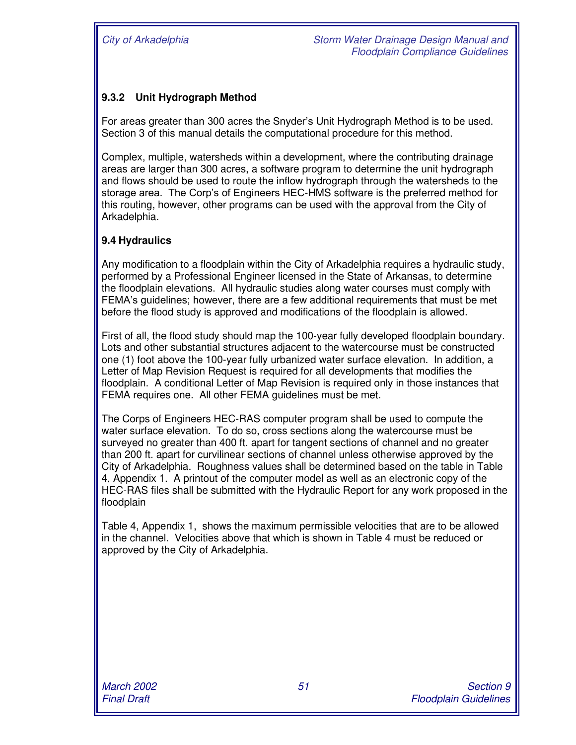# **9.3.2 Unit Hydrograph Method**

For areas greater than 300 acres the Snyder's Unit Hydrograph Method is to be used. Section 3 of this manual details the computational procedure for this method.

Complex, multiple, watersheds within a development, where the contributing drainage areas are larger than 300 acres, a software program to determine the unit hydrograph and flows should be used to route the inflow hydrograph through the watersheds to the storage area. The Corp's of Engineers HEC-HMS software is the preferred method for this routing, however, other programs can be used with the approval from the City of Arkadelphia.

#### **9.4 Hydraulics**

Any modification to a floodplain within the City of Arkadelphia requires a hydraulic study, performed by a Professional Engineer licensed in the State of Arkansas, to determine the floodplain elevations. All hydraulic studies along water courses must comply with FEMA's guidelines; however, there are a few additional requirements that must be met before the flood study is approved and modifications of the floodplain is allowed.

First of all, the flood study should map the 100-year fully developed floodplain boundary. Lots and other substantial structures adjacent to the watercourse must be constructed one (1) foot above the 100-year fully urbanized water surface elevation. In addition, a Letter of Map Revision Request is required for all developments that modifies the floodplain. A conditional Letter of Map Revision is required only in those instances that FEMA requires one. All other FEMA guidelines must be met.

The Corps of Engineers HEC-RAS computer program shall be used to compute the water surface elevation. To do so, cross sections along the watercourse must be surveyed no greater than 400 ft. apart for tangent sections of channel and no greater than 200 ft. apart for curvilinear sections of channel unless otherwise approved by the City of Arkadelphia. Roughness values shall be determined based on the table in Table 4, Appendix 1. A printout of the computer model as well as an electronic copy of the HEC-RAS files shall be submitted with the Hydraulic Report for any work proposed in the floodplain

Table 4, Appendix 1, shows the maximum permissible velocities that are to be allowed in the channel. Velocities above that which is shown in Table 4 must be reduced or approved by the City of Arkadelphia.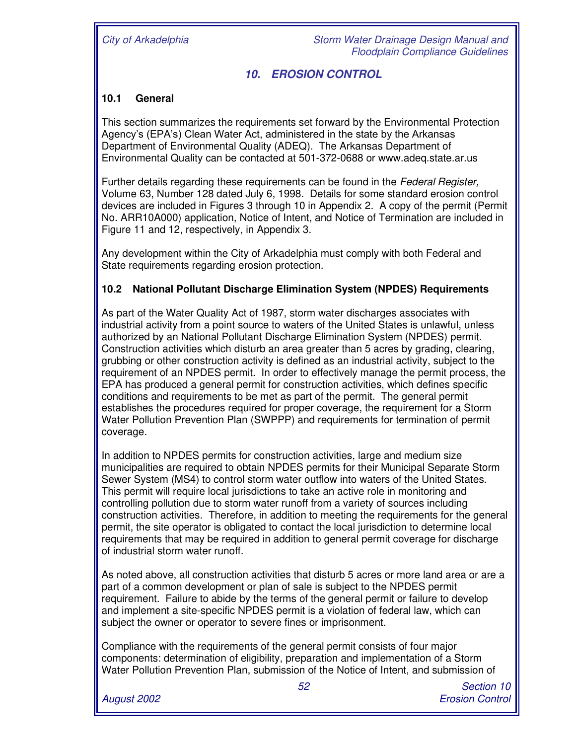# **10. EROSION CONTROL**

#### **10.1 General**

This section summarizes the requirements set forward by the Environmental Protection Agency's (EPA's) Clean Water Act, administered in the state by the Arkansas Department of Environmental Quality (ADEQ). The Arkansas Department of Environmental Quality can be contacted at 501-372-0688 or www.adeq.state.ar.us

Further details regarding these requirements can be found in the Federal Register, Volume 63, Number 128 dated July 6, 1998. Details for some standard erosion control devices are included in Figures 3 through 10 in Appendix 2. A copy of the permit (Permit No. ARR10A000) application, Notice of Intent, and Notice of Termination are included in Figure 11 and 12, respectively, in Appendix 3.

Any development within the City of Arkadelphia must comply with both Federal and State requirements regarding erosion protection.

#### **10.2 National Pollutant Discharge Elimination System (NPDES) Requirements**

As part of the Water Quality Act of 1987, storm water discharges associates with industrial activity from a point source to waters of the United States is unlawful, unless authorized by an National Pollutant Discharge Elimination System (NPDES) permit. Construction activities which disturb an area greater than 5 acres by grading, clearing, grubbing or other construction activity is defined as an industrial activity, subject to the requirement of an NPDES permit. In order to effectively manage the permit process, the EPA has produced a general permit for construction activities, which defines specific conditions and requirements to be met as part of the permit. The general permit establishes the procedures required for proper coverage, the requirement for a Storm Water Pollution Prevention Plan (SWPPP) and requirements for termination of permit coverage.

In addition to NPDES permits for construction activities, large and medium size municipalities are required to obtain NPDES permits for their Municipal Separate Storm Sewer System (MS4) to control storm water outflow into waters of the United States. This permit will require local jurisdictions to take an active role in monitoring and controlling pollution due to storm water runoff from a variety of sources including construction activities. Therefore, in addition to meeting the requirements for the general permit, the site operator is obligated to contact the local jurisdiction to determine local requirements that may be required in addition to general permit coverage for discharge of industrial storm water runoff.

As noted above, all construction activities that disturb 5 acres or more land area or are a part of a common development or plan of sale is subject to the NPDES permit requirement. Failure to abide by the terms of the general permit or failure to develop and implement a site-specific NPDES permit is a violation of federal law, which can subject the owner or operator to severe fines or imprisonment.

Compliance with the requirements of the general permit consists of four major components: determination of eligibility, preparation and implementation of a Storm Water Pollution Prevention Plan, submission of the Notice of Intent, and submission of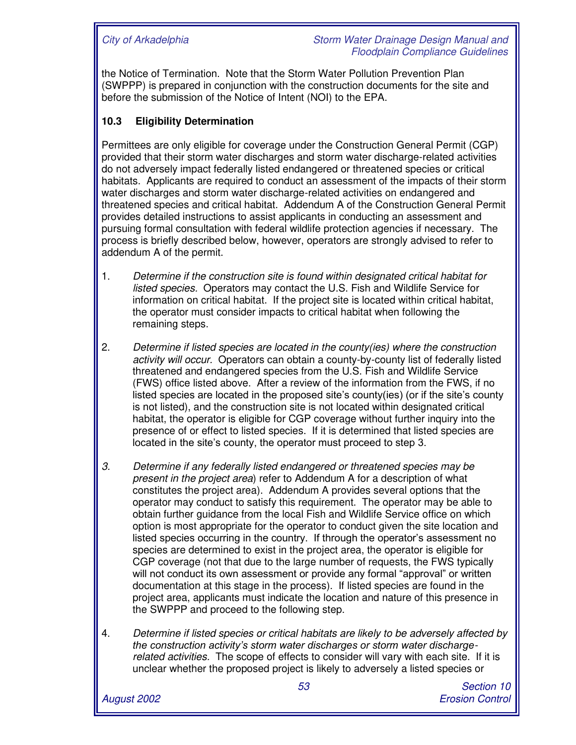the Notice of Termination. Note that the Storm Water Pollution Prevention Plan (SWPPP) is prepared in conjunction with the construction documents for the site and before the submission of the Notice of Intent (NOI) to the EPA.

# **10.3 Eligibility Determination**

Permittees are only eligible for coverage under the Construction General Permit (CGP) provided that their storm water discharges and storm water discharge-related activities do not adversely impact federally listed endangered or threatened species or critical habitats. Applicants are required to conduct an assessment of the impacts of their storm water discharges and storm water discharge-related activities on endangered and threatened species and critical habitat. Addendum A of the Construction General Permit provides detailed instructions to assist applicants in conducting an assessment and pursuing formal consultation with federal wildlife protection agencies if necessary. The process is briefly described below, however, operators are strongly advised to refer to addendum A of the permit.

- 1. Determine if the construction site is found within designated critical habitat for listed species. Operators may contact the U.S. Fish and Wildlife Service for information on critical habitat. If the project site is located within critical habitat, the operator must consider impacts to critical habitat when following the remaining steps.
- 2. Determine if listed species are located in the county(ies) where the construction activity will occur. Operators can obtain a county-by-county list of federally listed threatened and endangered species from the U.S. Fish and Wildlife Service (FWS) office listed above. After a review of the information from the FWS, if no listed species are located in the proposed site's county(ies) (or if the site's county is not listed), and the construction site is not located within designated critical habitat, the operator is eligible for CGP coverage without further inquiry into the presence of or effect to listed species. If it is determined that listed species are located in the site's county, the operator must proceed to step 3.
- 3. Determine if any federally listed endangered or threatened species may be present in the project area) refer to Addendum A for a description of what constitutes the project area). Addendum A provides several options that the operator may conduct to satisfy this requirement. The operator may be able to obtain further guidance from the local Fish and Wildlife Service office on which option is most appropriate for the operator to conduct given the site location and listed species occurring in the country. If through the operator's assessment no species are determined to exist in the project area, the operator is eligible for CGP coverage (not that due to the large number of requests, the FWS typically will not conduct its own assessment or provide any formal "approval" or written documentation at this stage in the process). If listed species are found in the project area, applicants must indicate the location and nature of this presence in the SWPPP and proceed to the following step.
- 4. Determine if listed species or critical habitats are likely to be adversely affected by *the construction activity's storm water discharges or storm water discharge*related activities. The scope of effects to consider will vary with each site. If it is unclear whether the proposed project is likely to adversely a listed species or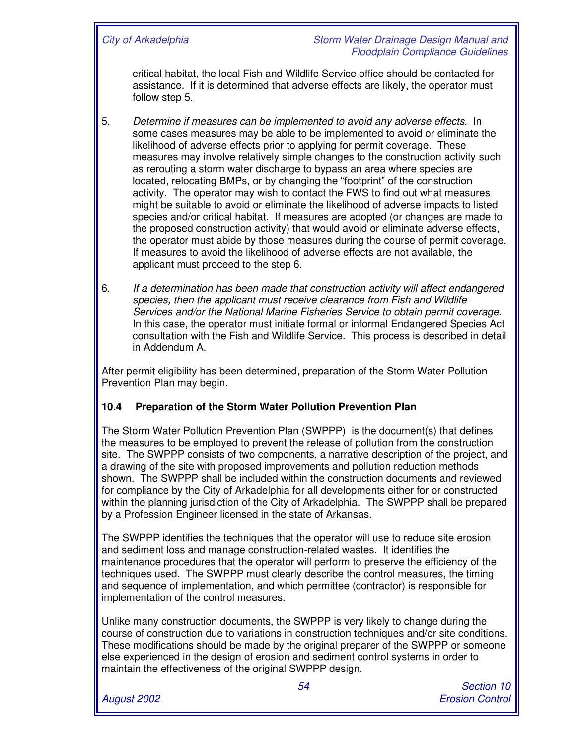critical habitat, the local Fish and Wildlife Service office should be contacted for assistance. If it is determined that adverse effects are likely, the operator must follow step 5.

- 5. Determine if measures can be implemented to avoid any adverse effects. In some cases measures may be able to be implemented to avoid or eliminate the likelihood of adverse effects prior to applying for permit coverage. These measures may involve relatively simple changes to the construction activity such as rerouting a storm water discharge to bypass an area where species are located, relocating BMPs, or by changing the "footprint" of the construction activity. The operator may wish to contact the FWS to find out what measures might be suitable to avoid or eliminate the likelihood of adverse impacts to listed species and/or critical habitat. If measures are adopted (or changes are made to the proposed construction activity) that would avoid or eliminate adverse effects, the operator must abide by those measures during the course of permit coverage. If measures to avoid the likelihood of adverse effects are not available, the applicant must proceed to the step 6.
- 6. If a determination has been made that construction activity will affect endangered species, then the applicant must receive clearance from Fish and Wildlife Services and/or the National Marine Fisheries Service to obtain permit coverage. In this case, the operator must initiate formal or informal Endangered Species Act consultation with the Fish and Wildlife Service. This process is described in detail in Addendum A.

After permit eligibility has been determined, preparation of the Storm Water Pollution Prevention Plan may begin.

# **10.4 Preparation of the Storm Water Pollution Prevention Plan**

The Storm Water Pollution Prevention Plan (SWPPP) is the document(s) that defines the measures to be employed to prevent the release of pollution from the construction site. The SWPPP consists of two components, a narrative description of the project, and a drawing of the site with proposed improvements and pollution reduction methods shown. The SWPPP shall be included within the construction documents and reviewed for compliance by the City of Arkadelphia for all developments either for or constructed within the planning jurisdiction of the City of Arkadelphia. The SWPPP shall be prepared by a Profession Engineer licensed in the state of Arkansas.

The SWPPP identifies the techniques that the operator will use to reduce site erosion and sediment loss and manage construction-related wastes. It identifies the maintenance procedures that the operator will perform to preserve the efficiency of the techniques used. The SWPPP must clearly describe the control measures, the timing and sequence of implementation, and which permittee (contractor) is responsible for implementation of the control measures.

Unlike many construction documents, the SWPPP is very likely to change during the course of construction due to variations in construction techniques and/or site conditions. These modifications should be made by the original preparer of the SWPPP or someone else experienced in the design of erosion and sediment control systems in order to maintain the effectiveness of the original SWPPP design.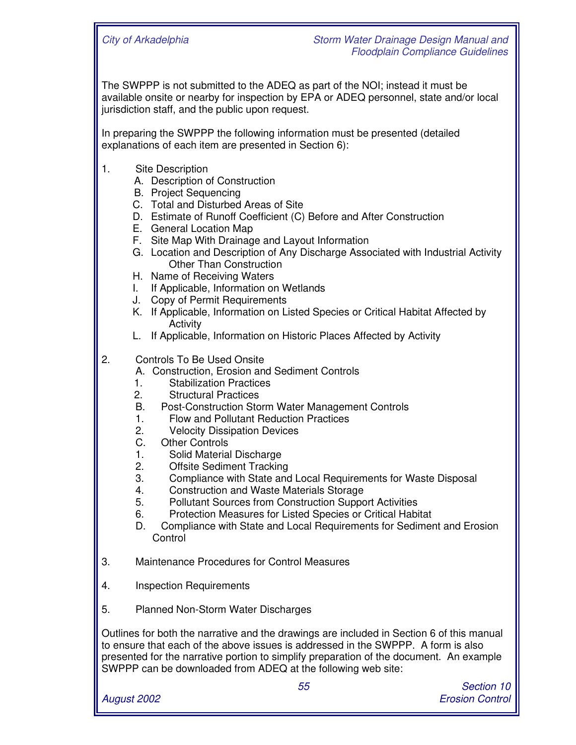The SWPPP is not submitted to the ADEQ as part of the NOI; instead it must be available onsite or nearby for inspection by EPA or ADEQ personnel, state and/or local jurisdiction staff, and the public upon request.

In preparing the SWPPP the following information must be presented (detailed explanations of each item are presented in Section 6):

- 1. Site Description
	- A. Description of Construction
	- B. Project Sequencing
	- C. Total and Disturbed Areas of Site
	- D. Estimate of Runoff Coefficient (C) Before and After Construction
	- E. General Location Map
	- F. Site Map With Drainage and Layout Information
	- G. Location and Description of Any Discharge Associated with Industrial Activity Other Than Construction
	- H. Name of Receiving Waters
	- I. If Applicable, Information on Wetlands
	- J. Copy of Permit Requirements
	- K. If Applicable, Information on Listed Species or Critical Habitat Affected by **Activity**
	- L. If Applicable, Information on Historic Places Affected by Activity
- 2. Controls To Be Used Onsite
	- A. Construction, Erosion and Sediment Controls
	- 1. Stabilization Practices
	- 2. Structural Practices
	- B. Post-Construction Storm Water Management Controls
	- 1. Flow and Pollutant Reduction Practices
	- 2. Velocity Dissipation Devices<br>C. Other Controls
	- **Other Controls**
	- 1. Solid Material Discharge
	- 2. Offsite Sediment Tracking
	- 3. Compliance with State and Local Requirements for Waste Disposal
	- 4. Construction and Waste Materials Storage
	- 5. Pollutant Sources from Construction Support Activities
	- 6. Protection Measures for Listed Species or Critical Habitat
	- D. Compliance with State and Local Requirements for Sediment and Erosion **Control**
- 3. Maintenance Procedures for Control Measures
- 4. Inspection Requirements
- 5. Planned Non-Storm Water Discharges

Outlines for both the narrative and the drawings are included in Section 6 of this manual to ensure that each of the above issues is addressed in the SWPPP. A form is also presented for the narrative portion to simplify preparation of the document. An example SWPPP can be downloaded from ADEQ at the following web site: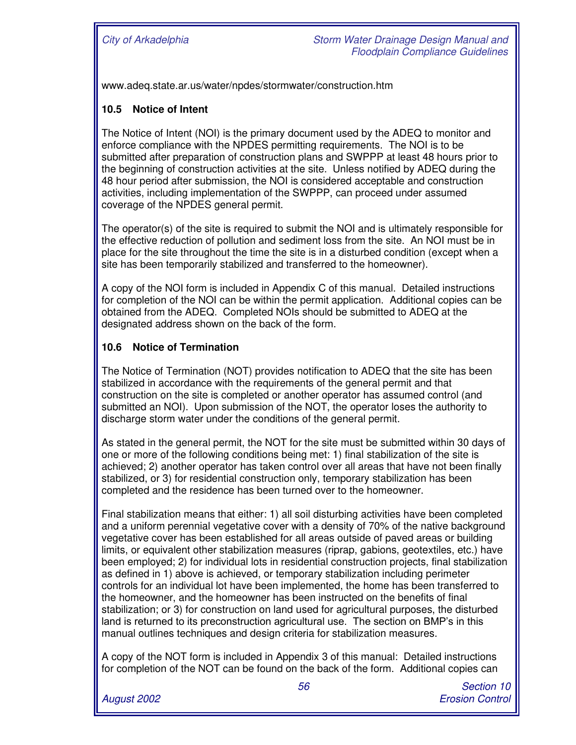www.adeq.state.ar.us/water/npdes/stormwater/construction.htm

#### **10.5 Notice of Intent**

The Notice of Intent (NOI) is the primary document used by the ADEQ to monitor and enforce compliance with the NPDES permitting requirements. The NOI is to be submitted after preparation of construction plans and SWPPP at least 48 hours prior to the beginning of construction activities at the site. Unless notified by ADEQ during the 48 hour period after submission, the NOI is considered acceptable and construction activities, including implementation of the SWPPP, can proceed under assumed coverage of the NPDES general permit.

The operator(s) of the site is required to submit the NOI and is ultimately responsible for the effective reduction of pollution and sediment loss from the site. An NOI must be in place for the site throughout the time the site is in a disturbed condition (except when a site has been temporarily stabilized and transferred to the homeowner).

A copy of the NOI form is included in Appendix C of this manual. Detailed instructions for completion of the NOI can be within the permit application. Additional copies can be obtained from the ADEQ. Completed NOIs should be submitted to ADEQ at the designated address shown on the back of the form.

#### **10.6 Notice of Termination**

The Notice of Termination (NOT) provides notification to ADEQ that the site has been stabilized in accordance with the requirements of the general permit and that construction on the site is completed or another operator has assumed control (and submitted an NOI). Upon submission of the NOT, the operator loses the authority to discharge storm water under the conditions of the general permit.

As stated in the general permit, the NOT for the site must be submitted within 30 days of one or more of the following conditions being met: 1) final stabilization of the site is achieved; 2) another operator has taken control over all areas that have not been finally stabilized, or 3) for residential construction only, temporary stabilization has been completed and the residence has been turned over to the homeowner.

Final stabilization means that either: 1) all soil disturbing activities have been completed and a uniform perennial vegetative cover with a density of 70% of the native background vegetative cover has been established for all areas outside of paved areas or building limits, or equivalent other stabilization measures (riprap, gabions, geotextiles, etc.) have been employed; 2) for individual lots in residential construction projects, final stabilization as defined in 1) above is achieved, or temporary stabilization including perimeter controls for an individual lot have been implemented, the home has been transferred to the homeowner, and the homeowner has been instructed on the benefits of final stabilization; or 3) for construction on land used for agricultural purposes, the disturbed land is returned to its preconstruction agricultural use. The section on BMP's in this manual outlines techniques and design criteria for stabilization measures.

A copy of the NOT form is included in Appendix 3 of this manual: Detailed instructions for completion of the NOT can be found on the back of the form. Additional copies can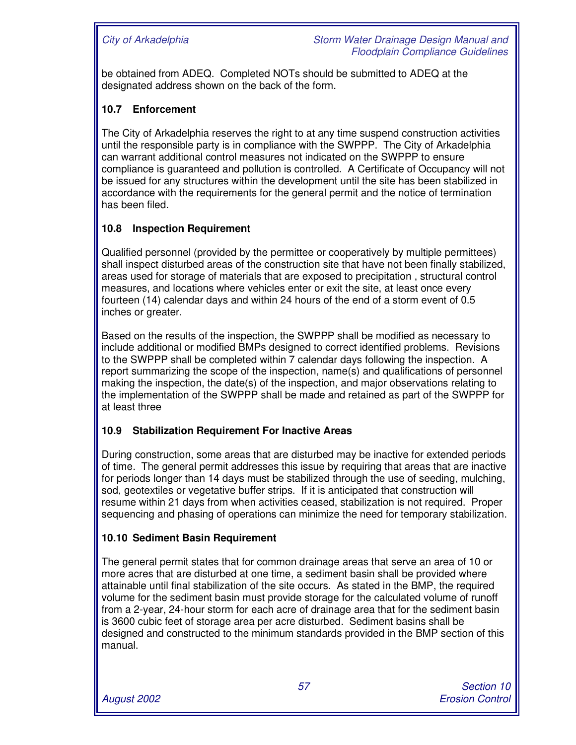be obtained from ADEQ. Completed NOTs should be submitted to ADEQ at the designated address shown on the back of the form.

# **10.7 Enforcement**

The City of Arkadelphia reserves the right to at any time suspend construction activities until the responsible party is in compliance with the SWPPP. The City of Arkadelphia can warrant additional control measures not indicated on the SWPPP to ensure compliance is guaranteed and pollution is controlled. A Certificate of Occupancy will not be issued for any structures within the development until the site has been stabilized in accordance with the requirements for the general permit and the notice of termination has been filed.

# **10.8 Inspection Requirement**

Qualified personnel (provided by the permittee or cooperatively by multiple permittees) shall inspect disturbed areas of the construction site that have not been finally stabilized, areas used for storage of materials that are exposed to precipitation , structural control measures, and locations where vehicles enter or exit the site, at least once every fourteen (14) calendar days and within 24 hours of the end of a storm event of 0.5 inches or greater.

Based on the results of the inspection, the SWPPP shall be modified as necessary to include additional or modified BMPs designed to correct identified problems. Revisions to the SWPPP shall be completed within 7 calendar days following the inspection. A report summarizing the scope of the inspection, name(s) and qualifications of personnel making the inspection, the date(s) of the inspection, and major observations relating to the implementation of the SWPPP shall be made and retained as part of the SWPPP for at least three

#### **10.9 Stabilization Requirement For Inactive Areas**

During construction, some areas that are disturbed may be inactive for extended periods of time. The general permit addresses this issue by requiring that areas that are inactive for periods longer than 14 days must be stabilized through the use of seeding, mulching, sod, geotextiles or vegetative buffer strips. If it is anticipated that construction will resume within 21 days from when activities ceased, stabilization is not required. Proper sequencing and phasing of operations can minimize the need for temporary stabilization.

#### **10.10 Sediment Basin Requirement**

The general permit states that for common drainage areas that serve an area of 10 or more acres that are disturbed at one time, a sediment basin shall be provided where attainable until final stabilization of the site occurs. As stated in the BMP, the required volume for the sediment basin must provide storage for the calculated volume of runoff from a 2-year, 24-hour storm for each acre of drainage area that for the sediment basin is 3600 cubic feet of storage area per acre disturbed. Sediment basins shall be designed and constructed to the minimum standards provided in the BMP section of this manual.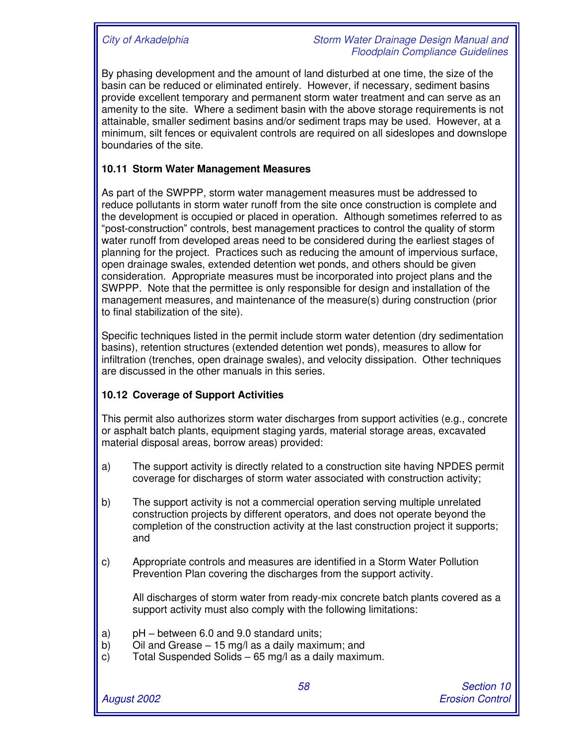By phasing development and the amount of land disturbed at one time, the size of the basin can be reduced or eliminated entirely. However, if necessary, sediment basins provide excellent temporary and permanent storm water treatment and can serve as an amenity to the site. Where a sediment basin with the above storage requirements is not attainable, smaller sediment basins and/or sediment traps may be used. However, at a minimum, silt fences or equivalent controls are required on all sideslopes and downslope boundaries of the site.

#### **10.11 Storm Water Management Measures**

As part of the SWPPP, storm water management measures must be addressed to reduce pollutants in storm water runoff from the site once construction is complete and the development is occupied or placed in operation. Although sometimes referred to as "post-construction" controls, best management practices to control the quality of storm water runoff from developed areas need to be considered during the earliest stages of planning for the project. Practices such as reducing the amount of impervious surface, open drainage swales, extended detention wet ponds, and others should be given consideration. Appropriate measures must be incorporated into project plans and the SWPPP. Note that the permittee is only responsible for design and installation of the management measures, and maintenance of the measure(s) during construction (prior to final stabilization of the site).

Specific techniques listed in the permit include storm water detention (dry sedimentation basins), retention structures (extended detention wet ponds), measures to allow for infiltration (trenches, open drainage swales), and velocity dissipation. Other techniques are discussed in the other manuals in this series.

# **10.12 Coverage of Support Activities**

This permit also authorizes storm water discharges from support activities (e.g., concrete or asphalt batch plants, equipment staging yards, material storage areas, excavated material disposal areas, borrow areas) provided:

- a) The support activity is directly related to a construction site having NPDES permit coverage for discharges of storm water associated with construction activity;
- b) The support activity is not a commercial operation serving multiple unrelated construction projects by different operators, and does not operate beyond the completion of the construction activity at the last construction project it supports; and
- c) Appropriate controls and measures are identified in a Storm Water Pollution Prevention Plan covering the discharges from the support activity.

 All discharges of storm water from ready-mix concrete batch plants covered as a support activity must also comply with the following limitations:

- a) pH between 6.0 and 9.0 standard units;
- b) Oil and Grease 15 mg/l as a daily maximum; and
- c) Total Suspended Solids 65 mg/l as a daily maximum.